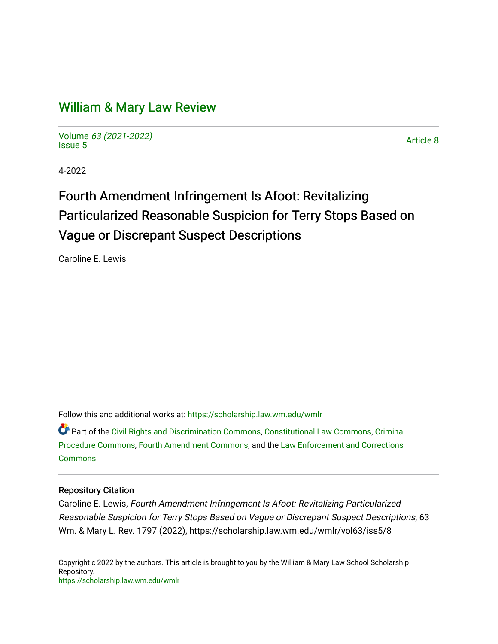# [William & Mary Law Review](https://scholarship.law.wm.edu/wmlr)

Volume [63 \(2021-2022\)](https://scholarship.law.wm.edu/wmlr/vol63)  volume os (2027-2022)<br>[Issue 5](https://scholarship.law.wm.edu/wmlr/vol63/iss5)

4-2022

# Fourth Amendment Infringement Is Afoot: Revitalizing Particularized Reasonable Suspicion for Terry Stops Based on Vague or Discrepant Suspect Descriptions

Caroline E. Lewis

Follow this and additional works at: [https://scholarship.law.wm.edu/wmlr](https://scholarship.law.wm.edu/wmlr?utm_source=scholarship.law.wm.edu%2Fwmlr%2Fvol63%2Fiss5%2F8&utm_medium=PDF&utm_campaign=PDFCoverPages)

Part of the [Civil Rights and Discrimination Commons,](https://network.bepress.com/hgg/discipline/585?utm_source=scholarship.law.wm.edu%2Fwmlr%2Fvol63%2Fiss5%2F8&utm_medium=PDF&utm_campaign=PDFCoverPages) [Constitutional Law Commons,](https://network.bepress.com/hgg/discipline/589?utm_source=scholarship.law.wm.edu%2Fwmlr%2Fvol63%2Fiss5%2F8&utm_medium=PDF&utm_campaign=PDFCoverPages) [Criminal](https://network.bepress.com/hgg/discipline/1073?utm_source=scholarship.law.wm.edu%2Fwmlr%2Fvol63%2Fiss5%2F8&utm_medium=PDF&utm_campaign=PDFCoverPages) [Procedure Commons](https://network.bepress.com/hgg/discipline/1073?utm_source=scholarship.law.wm.edu%2Fwmlr%2Fvol63%2Fiss5%2F8&utm_medium=PDF&utm_campaign=PDFCoverPages), [Fourth Amendment Commons](https://network.bepress.com/hgg/discipline/1180?utm_source=scholarship.law.wm.edu%2Fwmlr%2Fvol63%2Fiss5%2F8&utm_medium=PDF&utm_campaign=PDFCoverPages), and the [Law Enforcement and Corrections](https://network.bepress.com/hgg/discipline/854?utm_source=scholarship.law.wm.edu%2Fwmlr%2Fvol63%2Fiss5%2F8&utm_medium=PDF&utm_campaign=PDFCoverPages) **[Commons](https://network.bepress.com/hgg/discipline/854?utm_source=scholarship.law.wm.edu%2Fwmlr%2Fvol63%2Fiss5%2F8&utm_medium=PDF&utm_campaign=PDFCoverPages)** 

## Repository Citation

Caroline E. Lewis, Fourth Amendment Infringement Is Afoot: Revitalizing Particularized Reasonable Suspicion for Terry Stops Based on Vague or Discrepant Suspect Descriptions, 63 Wm. & Mary L. Rev. 1797 (2022), https://scholarship.law.wm.edu/wmlr/vol63/iss5/8

Copyright c 2022 by the authors. This article is brought to you by the William & Mary Law School Scholarship Repository. <https://scholarship.law.wm.edu/wmlr>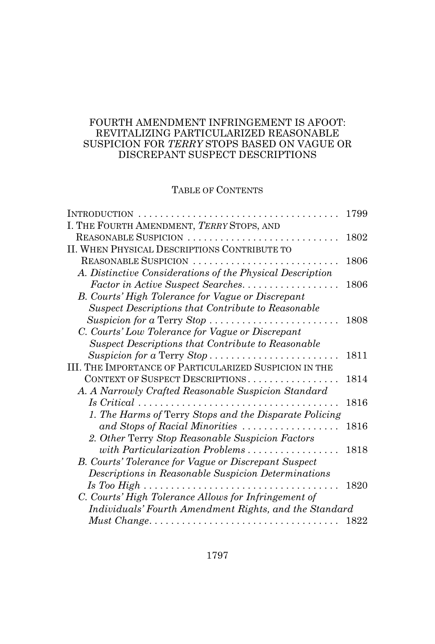## FOURTH AMENDMENT INFRINGEMENT IS AFOOT: REVITALIZING PARTICULARIZED REASONABLE SUSPICION FOR *TERRY* STOPS BASED ON VAGUE OR DISCREPANT SUSPECT DESCRIPTIONS

# TABLE OF CONTENTS

| INTRODUCTION                                                                       | 1799 |
|------------------------------------------------------------------------------------|------|
| I. THE FOURTH AMENDMENT, TERRY STOPS, AND                                          |      |
| REASONABLE SUSPICION                                                               | 1802 |
| II. WHEN PHYSICAL DESCRIPTIONS CONTRIBUTE TO                                       |      |
| REASONABLE SUSPICION                                                               | 1806 |
| A. Distinctive Considerations of the Physical Description                          |      |
| Factor in Active Suspect Searches.                                                 | 1806 |
| B. Courts' High Tolerance for Vague or Discrepant                                  |      |
| Suspect Descriptions that Contribute to Reasonable                                 |      |
| Suspicion for a Terry Stop                                                         | 1808 |
| C. Courts' Low Tolerance for Vague or Discrepant                                   |      |
| Suspect Descriptions that Contribute to Reasonable                                 |      |
| Suspicion for a Terry Stop                                                         | 1811 |
| III. THE IMPORTANCE OF PARTICULARIZED SUSPICION IN THE                             |      |
| CONTEXT OF SUSPECT DESCRIPTIONS                                                    | 1814 |
| A. A Narrowly Crafted Reasonable Suspicion Standard                                |      |
| $Is \, Critical \, \ldots \ldots \ldots \ldots \ldots \ldots \ldots \ldots \ldots$ | 1816 |
| 1. The Harms of Terry Stops and the Disparate Policing                             |      |
| and Stops of Racial Minorities                                                     | 1816 |
| 2. Other Terry Stop Reasonable Suspicion Factors                                   |      |
| with Particularization Problems                                                    | 1818 |
| B. Courts' Tolerance for Vague or Discrepant Suspect                               |      |
| Descriptions in Reasonable Suspicion Determinations                                |      |
|                                                                                    | 1820 |
| C. Courts' High Tolerance Allows for Infringement of                               |      |
| Individuals' Fourth Amendment Rights, and the Standard                             |      |
|                                                                                    | 1822 |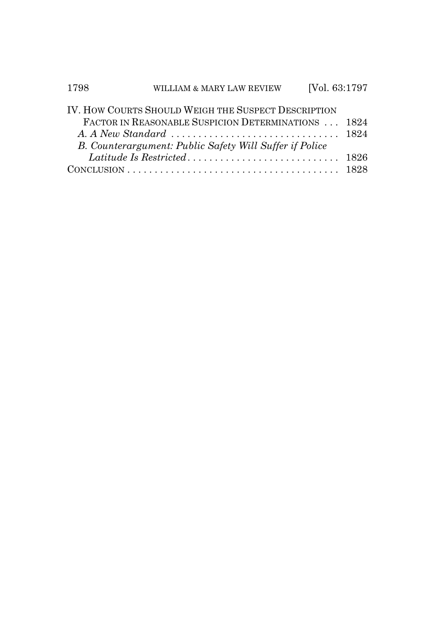| 1798 | WILLIAM & MARY LAW REVIEW                               | [Vol. 63:1797 |  |
|------|---------------------------------------------------------|---------------|--|
|      | IV. HOW COURTS SHOULD WEIGH THE SUSPECT DESCRIPTION     |               |  |
|      | FACTOR IN REASONABLE SUSPICION DETERMINATIONS  1824     |               |  |
|      |                                                         |               |  |
|      | B. Counterargument: Public Safety Will Suffer if Police |               |  |
|      |                                                         |               |  |
|      |                                                         |               |  |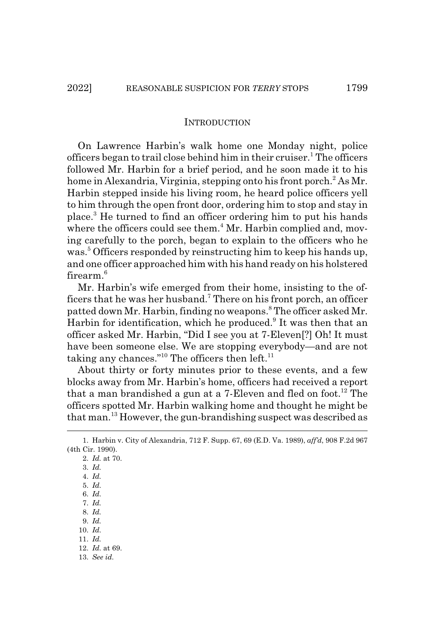#### **INTRODUCTION**

On Lawrence Harbin's walk home one Monday night, police officers began to trail close behind him in their cruiser.<sup>1</sup> The officers followed Mr. Harbin for a brief period, and he soon made it to his home in Alexandria, Virginia, stepping onto his front porch.<sup>2</sup> As Mr. Harbin stepped inside his living room, he heard police officers yell to him through the open front door, ordering him to stop and stay in place.3 He turned to find an officer ordering him to put his hands where the officers could see them.<sup>4</sup> Mr. Harbin complied and, moving carefully to the porch, began to explain to the officers who he was.<sup>5</sup> Officers responded by reinstructing him to keep his hands up, and one officer approached him with his hand ready on his holstered firearm.<sup>6</sup>

Mr. Harbin's wife emerged from their home, insisting to the officers that he was her husband.<sup>7</sup> There on his front porch, an officer patted down Mr. Harbin, finding no weapons.<sup>8</sup> The officer asked Mr. Harbin for identification, which he produced.<sup>9</sup> It was then that an officer asked Mr. Harbin, "Did I see you at 7-Eleven[?] Oh! It must have been someone else. We are stopping everybody—and are not taking any chances."<sup>10</sup> The officers then left.<sup>11</sup>

About thirty or forty minutes prior to these events, and a few blocks away from Mr. Harbin's home, officers had received a report that a man brandished a gun at a 7-Eleven and fled on foot.<sup>12</sup> The officers spotted Mr. Harbin walking home and thought he might be that man.13 However, the gun-brandishing suspect was described as

2. *Id.* at 70. 3. *Id.*

- 11. *Id.*
- 12. *Id.* at 69.
- 13. *See id.*

<sup>1.</sup> Harbin v. City of Alexandria, 712 F. Supp. 67, 69 (E.D. Va. 1989), *aff'd*, 908 F.2d 967 (4th Cir. 1990).

<sup>4.</sup> *Id.*

<sup>5.</sup> *Id.*

<sup>6.</sup> *Id.*

<sup>7.</sup> *Id.*

<sup>8.</sup> *Id.*

<sup>9.</sup> *Id.* 10. *Id.*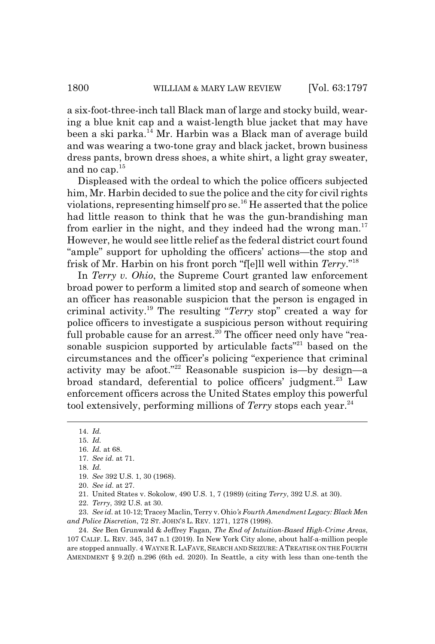a six-foot-three-inch tall Black man of large and stocky build, wearing a blue knit cap and a waist-length blue jacket that may have been a ski parka.<sup>14</sup> Mr. Harbin was a Black man of average build and was wearing a two-tone gray and black jacket, brown business dress pants, brown dress shoes, a white shirt, a light gray sweater, and no cap.15

Displeased with the ordeal to which the police officers subjected him, Mr. Harbin decided to sue the police and the city for civil rights violations, representing himself pro se.16 He asserted that the police had little reason to think that he was the gun-brandishing man from earlier in the night, and they indeed had the wrong man.<sup>17</sup> However, he would see little relief as the federal district court found "ample" support for upholding the officers' actions—the stop and frisk of Mr. Harbin on his front porch "f[e]ll well within *Terry*."18

In *Terry v. Ohio*, the Supreme Court granted law enforcement broad power to perform a limited stop and search of someone when an officer has reasonable suspicion that the person is engaged in criminal activity.19 The resulting "*Terry* stop" created a way for police officers to investigate a suspicious person without requiring full probable cause for an arrest.<sup>20</sup> The officer need only have "reasonable suspicion supported by articulable facts"<sup>21</sup> based on the circumstances and the officer's policing "experience that criminal activity may be afoot."22 Reasonable suspicion is—by design—a broad standard, deferential to police officers' judgment.<sup>23</sup> Law enforcement officers across the United States employ this powerful tool extensively, performing millions of *Terry* stops each year.<sup>24</sup>

<sup>14.</sup> *Id.*

<sup>15.</sup> *Id.*

<sup>16.</sup> *Id.* at 68.

<sup>17.</sup> *See id.* at 71.

<sup>18.</sup> *Id.*

<sup>19.</sup> *See* 392 U.S. 1, 30 (1968).

<sup>20.</sup> *See id.* at 27.

<sup>21.</sup> United States v. Sokolow, 490 U.S. 1, 7 (1989) (citing *Terry*, 392 U.S. at 30).

<sup>22.</sup> *Terry*, 392 U.S. at 30.

<sup>23.</sup> *See id.* at 10-12; Tracey Maclin, Terry v. Ohio*'s Fourth Amendment Legacy: Black Men and Police Discretion*, 72 ST. JOHN'S L. REV. 1271, 1278 (1998).

<sup>24.</sup> *See* Ben Grunwald & Jeffrey Fagan, *The End of Intuition-Based High-Crime Areas*, 107 CALIF. L. REV. 345, 347 n.1 (2019). In New York City alone, about half-a-million people are stopped annually. 4 WAYNE R. LAFAVE, SEARCH AND SEIZURE: A TREATISE ON THE FOURTH AMENDMENT § 9.2(f) n.296 (6th ed. 2020). In Seattle, a city with less than one-tenth the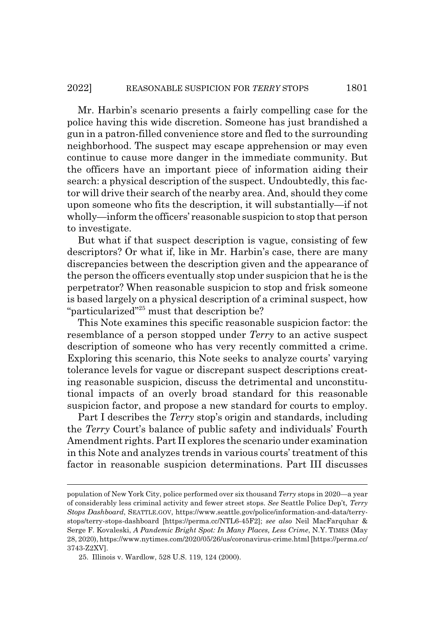Mr. Harbin's scenario presents a fairly compelling case for the police having this wide discretion. Someone has just brandished a gun in a patron-filled convenience store and fled to the surrounding neighborhood. The suspect may escape apprehension or may even continue to cause more danger in the immediate community. But the officers have an important piece of information aiding their search: a physical description of the suspect. Undoubtedly, this factor will drive their search of the nearby area. And, should they come upon someone who fits the description, it will substantially—if not wholly—inform the officers' reasonable suspicion to stop that person to investigate.

But what if that suspect description is vague, consisting of few descriptors? Or what if, like in Mr. Harbin's case, there are many discrepancies between the description given and the appearance of the person the officers eventually stop under suspicion that he is the perpetrator? When reasonable suspicion to stop and frisk someone is based largely on a physical description of a criminal suspect, how "particularized"25 must that description be?

This Note examines this specific reasonable suspicion factor: the resemblance of a person stopped under *Terry* to an active suspect description of someone who has very recently committed a crime. Exploring this scenario, this Note seeks to analyze courts' varying tolerance levels for vague or discrepant suspect descriptions creating reasonable suspicion, discuss the detrimental and unconstitutional impacts of an overly broad standard for this reasonable suspicion factor, and propose a new standard for courts to employ.

Part I describes the *Terry* stop's origin and standards, including the *Terry* Court's balance of public safety and individuals' Fourth Amendment rights. Part II explores the scenario under examination in this Note and analyzes trends in various courts' treatment of this factor in reasonable suspicion determinations. Part III discusses

population of New York City, police performed over six thousand *Terry* stops in 2020—a year of considerably less criminal activity and fewer street stops. *See* Seattle Police Dep't*, Terry Stops Dashboard*, SEATTLE.GOV, https://www.seattle.gov/police/information-and-data/terrystops/terry-stops-dashboard [https://perma.cc/NTL6-45F2]; *see also* Neil MacFarquhar & Serge F. Kovaleski, *A Pandemic Bright Spot: In Many Places, Less Crime*, N.Y. TIMES (May 28, 2020), https://www.nytimes.com/2020/05/26/us/coronavirus-crime.html [https://perma.cc/ 3743-Z2XV].

<sup>25.</sup> Illinois v. Wardlow, 528 U.S. 119, 124 (2000).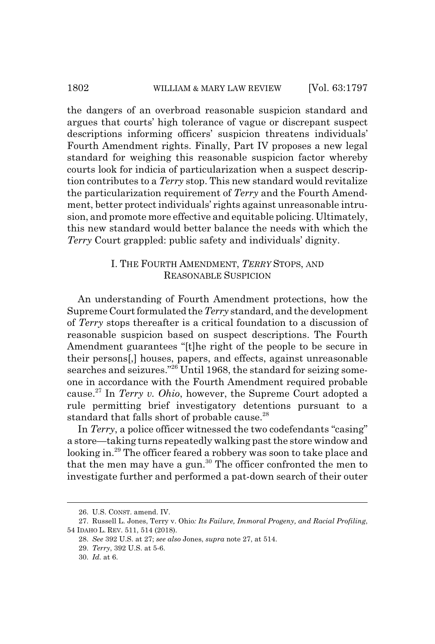#### 1802 WILLIAM & MARY LAW REVIEW [Vol. 63:1797

the dangers of an overbroad reasonable suspicion standard and argues that courts' high tolerance of vague or discrepant suspect descriptions informing officers' suspicion threatens individuals' Fourth Amendment rights. Finally, Part IV proposes a new legal standard for weighing this reasonable suspicion factor whereby courts look for indicia of particularization when a suspect description contributes to a *Terry* stop. This new standard would revitalize the particularization requirement of *Terry* and the Fourth Amendment, better protect individuals' rights against unreasonable intrusion, and promote more effective and equitable policing. Ultimately, this new standard would better balance the needs with which the *Terry* Court grappled: public safety and individuals' dignity.

## I. THE FOURTH AMENDMENT, *TERRY* STOPS, AND REASONABLE SUSPICION

An understanding of Fourth Amendment protections, how the Supreme Court formulated the *Terry* standard, and the development of *Terry* stops thereafter is a critical foundation to a discussion of reasonable suspicion based on suspect descriptions. The Fourth Amendment guarantees "[t]he right of the people to be secure in their persons[,] houses, papers, and effects, against unreasonable searches and seizures."26 Until 1968, the standard for seizing someone in accordance with the Fourth Amendment required probable cause.27 In *Terry v. Ohio*, however, the Supreme Court adopted a rule permitting brief investigatory detentions pursuant to a standard that falls short of probable cause.<sup>28</sup>

In *Terry*, a police officer witnessed the two codefendants "casing" a store—taking turns repeatedly walking past the store window and looking in.<sup>29</sup> The officer feared a robbery was soon to take place and that the men may have a gun.<sup>30</sup> The officer confronted the men to investigate further and performed a pat-down search of their outer

<sup>26.</sup> U.S. CONST. amend. IV.

<sup>27.</sup> Russell L. Jones, Terry v. Ohio*: Its Failure, Immoral Progeny, and Racial Profiling*, 54 IDAHO L. REV. 511, 514 (2018).

<sup>28.</sup> *See* 392 U.S. at 27; *see also* Jones, *supra* note 27, at 514.

<sup>29.</sup> *Terry*, 392 U.S. at 5-6.

<sup>30.</sup> *Id.* at 6.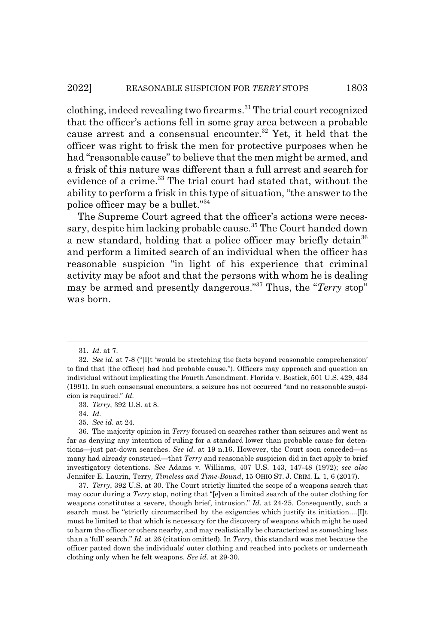clothing, indeed revealing two firearms.<sup>31</sup> The trial court recognized that the officer's actions fell in some gray area between a probable cause arrest and a consensual encounter.<sup>32</sup> Yet, it held that the officer was right to frisk the men for protective purposes when he had "reasonable cause" to believe that the men might be armed, and a frisk of this nature was different than a full arrest and search for evidence of a crime.<sup>33</sup> The trial court had stated that, without the ability to perform a frisk in this type of situation, "the answer to the police officer may be a bullet."34

The Supreme Court agreed that the officer's actions were necessary, despite him lacking probable cause.<sup>35</sup> The Court handed down a new standard, holding that a police officer may briefly detain<sup>36</sup> and perform a limited search of an individual when the officer has reasonable suspicion "in light of his experience that criminal activity may be afoot and that the persons with whom he is dealing may be armed and presently dangerous."37 Thus, the "*Terry* stop" was born.

<sup>31.</sup> *Id.* at 7.

<sup>32.</sup> *See id.* at 7-8 ("[I]t 'would be stretching the facts beyond reasonable comprehension' to find that [the officer] had had probable cause."). Officers may approach and question an individual without implicating the Fourth Amendment. Florida v. Bostick, 501 U.S. 429, 434 (1991). In such consensual encounters, a seizure has not occurred "and no reasonable suspicion is required." *Id.*

<sup>33.</sup> *Terry*, 392 U.S. at 8.

<sup>34.</sup> *Id.*

<sup>35.</sup> *See id.* at 24.

<sup>36.</sup> The majority opinion in *Terry* focused on searches rather than seizures and went as far as denying any intention of ruling for a standard lower than probable cause for detentions—just pat-down searches. *See id.* at 19 n.16. However, the Court soon conceded—as many had already construed—that *Terry* and reasonable suspicion did in fact apply to brief investigatory detentions. *See* Adams v. Williams, 407 U.S. 143, 147-48 (1972); *see also* Jennifer E. Laurin, Terry*, Timeless and Time-Bound*, 15 OHIO ST. J. CRIM. L. 1, 6 (2017).

<sup>37.</sup> *Terry*, 392 U.S. at 30. The Court strictly limited the scope of a weapons search that may occur during a *Terry* stop, noting that "[e]ven a limited search of the outer clothing for weapons constitutes a severe, though brief, intrusion." *Id.* at 24-25. Consequently, such a search must be "strictly circumscribed by the exigencies which justify its initiation....[I]t must be limited to that which is necessary for the discovery of weapons which might be used to harm the officer or others nearby, and may realistically be characterized as something less than a 'full' search." *Id.* at 26 (citation omitted). In *Terry*, this standard was met because the officer patted down the individuals' outer clothing and reached into pockets or underneath clothing only when he felt weapons. *See id.* at 29-30.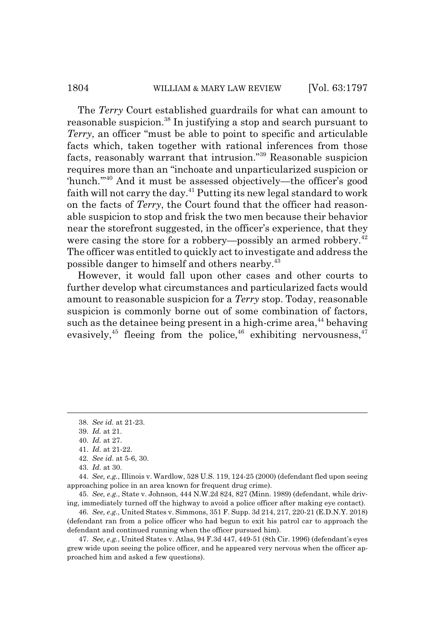#### 1804 WILLIAM & MARY LAW REVIEW [Vol. 63:1797

The *Terry* Court established guardrails for what can amount to reasonable suspicion.<sup>38</sup> In justifying a stop and search pursuant to *Terry*, an officer "must be able to point to specific and articulable facts which, taken together with rational inferences from those facts, reasonably warrant that intrusion."39 Reasonable suspicion requires more than an "inchoate and unparticularized suspicion or 'hunch.'"40 And it must be assessed objectively—the officer's good faith will not carry the day.<sup>41</sup> Putting its new legal standard to work on the facts of *Terry*, the Court found that the officer had reasonable suspicion to stop and frisk the two men because their behavior near the storefront suggested, in the officer's experience, that they were casing the store for a robbery—possibly an armed robbery.<sup>42</sup> The officer was entitled to quickly act to investigate and address the possible danger to himself and others nearby.43

However, it would fall upon other cases and other courts to further develop what circumstances and particularized facts would amount to reasonable suspicion for a *Terry* stop. Today, reasonable suspicion is commonly borne out of some combination of factors, such as the detainee being present in a high-crime area, $44$  behaving evasively,<sup>45</sup> fleeing from the police,<sup>46</sup> exhibiting nervousness,<sup>47</sup>

<sup>38.</sup> *See id.* at 21-23.

<sup>39.</sup> *Id.* at 21.

<sup>40.</sup> *Id.* at 27.

<sup>41.</sup> *Id.* at 21-22.

<sup>42.</sup> *See id.* at 5-6, 30.

<sup>43.</sup> *Id.* at 30.

<sup>44.</sup> *See, e.g.*, Illinois v. Wardlow, 528 U.S. 119, 124-25 (2000) (defendant fled upon seeing approaching police in an area known for frequent drug crime).

<sup>45.</sup> *See, e.g.*, State v. Johnson, 444 N.W.2d 824, 827 (Minn. 1989) (defendant, while driving, immediately turned off the highway to avoid a police officer after making eye contact).

<sup>46.</sup> *See, e.g.*, United States v. Simmons, 351 F. Supp. 3d 214, 217, 220-21 (E.D.N.Y. 2018) (defendant ran from a police officer who had begun to exit his patrol car to approach the defendant and continued running when the officer pursued him).

<sup>47.</sup> *See, e.g.*, United States v. Atlas, 94 F.3d 447, 449-51 (8th Cir. 1996) (defendant's eyes grew wide upon seeing the police officer, and he appeared very nervous when the officer approached him and asked a few questions).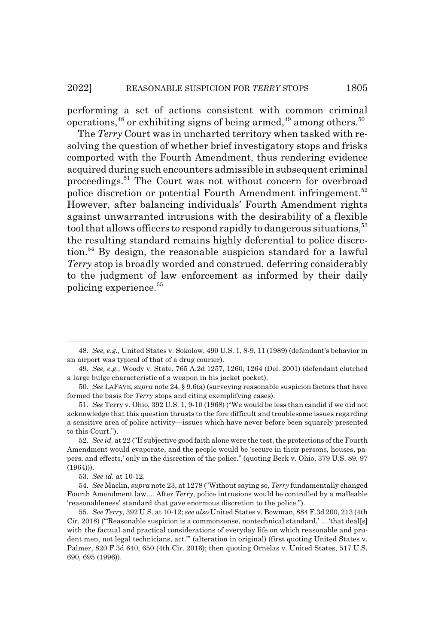performing a set of actions consistent with common criminal operations,  $48$  or exhibiting signs of being armed,  $49$  among others.  $50$ 

The *Terry* Court was in uncharted territory when tasked with resolving the question of whether brief investigatory stops and frisks comported with the Fourth Amendment, thus rendering evidence acquired during such encounters admissible in subsequent criminal proceedings.51 The Court was not without concern for overbroad police discretion or potential Fourth Amendment infringement.<sup>52</sup> However, after balancing individuals' Fourth Amendment rights against unwarranted intrusions with the desirability of a flexible tool that allows officers to respond rapidly to dangerous situations,<sup>53</sup> the resulting standard remains highly deferential to police discretion.54 By design, the reasonable suspicion standard for a lawful *Terry* stop is broadly worded and construed, deferring considerably to the judgment of law enforcement as informed by their daily policing experience.<sup>55</sup>

<sup>48.</sup> *See, e.g.*, United States v. Sokolow, 490 U.S. 1, 8-9, 11 (1989) (defendant's behavior in an airport was typical of that of a drug courier).

<sup>49.</sup> *See, e.g.*, Woody v. State, 765 A.2d 1257, 1260, 1264 (Del. 2001) (defendant clutched a large bulge characteristic of a weapon in his jacket pocket).

<sup>50.</sup> *See* LAFAVE, *supra* note 24, § 9.6(a) (surveying reasonable suspicion factors that have formed the basis for *Terry* stops and citing exemplifying cases).

<sup>51.</sup> *See* Terry v. Ohio, 392 U.S. 1, 9-10 (1968) ("We would be less than candid if we did not acknowledge that this question thrusts to the fore difficult and troublesome issues regarding a sensitive area of police activity—issues which have never before been squarely presented to this Court.").

<sup>52.</sup> *See id.* at 22 ("If subjective good faith alone were the test, the protections of the Fourth Amendment would evaporate, and the people would be 'secure in their persons, houses, papers, and effects,' only in the discretion of the police." (quoting Beck v. Ohio, 379 U.S. 89, 97  $(1964))$ .

<sup>53.</sup> *See id.* at 10-12.

<sup>54.</sup> *See* Maclin, *supra* note 23, at 1278 ("Without saying so, *Terry* fundamentally changed Fourth Amendment law.... After *Terry*, police intrusions would be controlled by a malleable 'reasonableness' standard that gave enormous discretion to the police.").

<sup>55.</sup> *See Terry*, 392 U.S. at 10-12; *see also* United States v. Bowman, 884 F.3d 200, 213 (4th Cir. 2018) ("'Reasonable suspicion is a commonsense, nontechnical standard,' ... 'that deal[s] with the factual and practical considerations of everyday life on which reasonable and prudent men, not legal technicians, act.'" (alteration in original) (first quoting United States v. Palmer, 820 F.3d 640, 650 (4th Cir. 2016); then quoting Ornelas v. United States, 517 U.S. 690, 695 (1996)).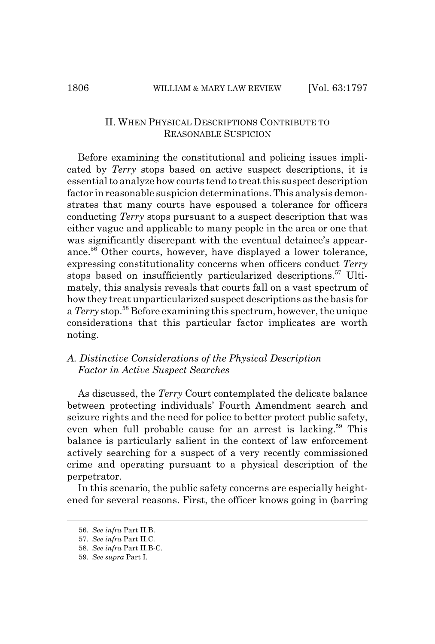#### II. WHEN PHYSICAL DESCRIPTIONS CONTRIBUTE TO REASONABLE SUSPICION

Before examining the constitutional and policing issues implicated by *Terry* stops based on active suspect descriptions, it is essential to analyze how courts tend to treat this suspect description factor in reasonable suspicion determinations. This analysis demonstrates that many courts have espoused a tolerance for officers conducting *Terry* stops pursuant to a suspect description that was either vague and applicable to many people in the area or one that was significantly discrepant with the eventual detainee's appearance.56 Other courts, however, have displayed a lower tolerance, expressing constitutionality concerns when officers conduct *Terry* stops based on insufficiently particularized descriptions.<sup>57</sup> Ultimately, this analysis reveals that courts fall on a vast spectrum of how they treat unparticularized suspect descriptions as the basis for a*Terry* stop.58 Before examining this spectrum, however, the unique considerations that this particular factor implicates are worth noting.

#### *A. Distinctive Considerations of the Physical Description Factor in Active Suspect Searches*

As discussed, the *Terry* Court contemplated the delicate balance between protecting individuals' Fourth Amendment search and seizure rights and the need for police to better protect public safety, even when full probable cause for an arrest is lacking.<sup>59</sup> This balance is particularly salient in the context of law enforcement actively searching for a suspect of a very recently commissioned crime and operating pursuant to a physical description of the perpetrator.

In this scenario, the public safety concerns are especially heightened for several reasons. First, the officer knows going in (barring

<sup>56.</sup> *See infra* Part II.B.

<sup>57.</sup> *See infra* Part II.C.

<sup>58.</sup> *See infra* Part II.B-C.

<sup>59.</sup> *See supra* Part I.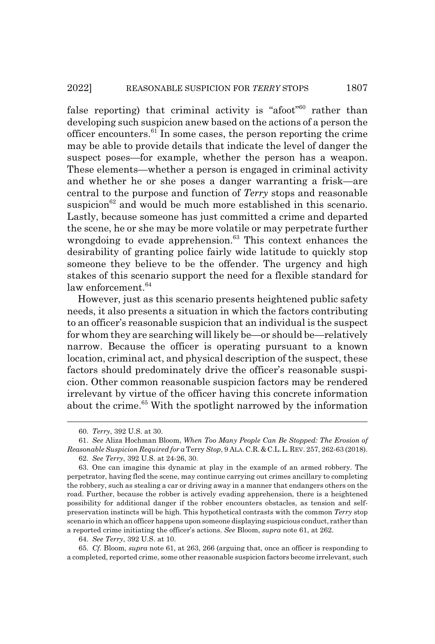false reporting) that criminal activity is "afoot"<sup>60</sup> rather than developing such suspicion anew based on the actions of a person the officer encounters. $61$  In some cases, the person reporting the crime may be able to provide details that indicate the level of danger the suspect poses—for example, whether the person has a weapon. These elements—whether a person is engaged in criminal activity and whether he or she poses a danger warranting a frisk—are central to the purpose and function of *Terry* stops and reasonable suspicion<sup>62</sup> and would be much more established in this scenario. Lastly, because someone has just committed a crime and departed the scene, he or she may be more volatile or may perpetrate further wrongdoing to evade apprehension. $63$  This context enhances the desirability of granting police fairly wide latitude to quickly stop someone they believe to be the offender. The urgency and high stakes of this scenario support the need for a flexible standard for law enforcement.<sup>64</sup>

However, just as this scenario presents heightened public safety needs, it also presents a situation in which the factors contributing to an officer's reasonable suspicion that an individual is the suspect for whom they are searching will likely be—or should be—relatively narrow. Because the officer is operating pursuant to a known location, criminal act, and physical description of the suspect, these factors should predominately drive the officer's reasonable suspicion. Other common reasonable suspicion factors may be rendered irrelevant by virtue of the officer having this concrete information about the crime.<sup>65</sup> With the spotlight narrowed by the information

64. *See Terry*, 392 U.S. at 10.

65. *Cf.* Bloom, *supra* note 61, at 263, 266 (arguing that, once an officer is responding to a completed, reported crime, some other reasonable suspicion factors become irrelevant, such

<sup>60.</sup> *Terry*, 392 U.S. at 30.

<sup>61.</sup> *See* Aliza Hochman Bloom, *When Too Many People Can Be Stopped: The Erosion of Reasonable Suspicion Required for a* Terry *Stop*, 9 ALA.C.R.&C.L.L.REV. 257, 262-63 (2018).

<sup>62.</sup> *See Terry*, 392 U.S. at 24-26, 30.

<sup>63.</sup> One can imagine this dynamic at play in the example of an armed robbery. The perpetrator, having fled the scene, may continue carrying out crimes ancillary to completing the robbery, such as stealing a car or driving away in a manner that endangers others on the road. Further, because the robber is actively evading apprehension, there is a heightened possibility for additional danger if the robber encounters obstacles, as tension and selfpreservation instincts will be high. This hypothetical contrasts with the common *Terry* stop scenario in which an officer happens upon someone displaying suspicious conduct, rather than a reported crime initiating the officer's actions. *See* Bloom, *supra* note 61, at 262.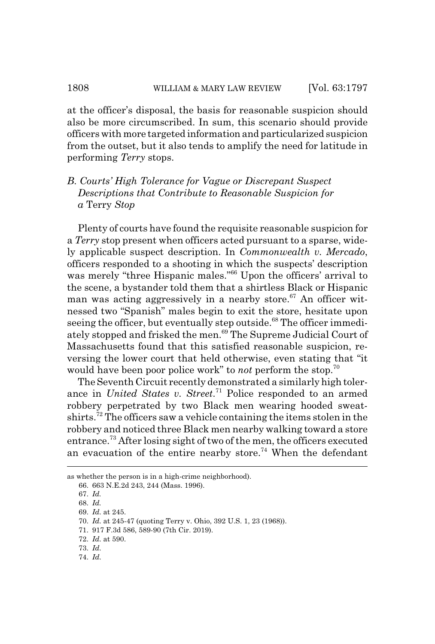at the officer's disposal, the basis for reasonable suspicion should also be more circumscribed. In sum, this scenario should provide officers with more targeted information and particularized suspicion from the outset, but it also tends to amplify the need for latitude in performing *Terry* stops.

# *B. Courts' High Tolerance for Vague or Discrepant Suspect Descriptions that Contribute to Reasonable Suspicion for a* Terry *Stop*

Plenty of courts have found the requisite reasonable suspicion for a *Terry* stop present when officers acted pursuant to a sparse, widely applicable suspect description. In *Commonwealth v. Mercado*, officers responded to a shooting in which the suspects' description was merely "three Hispanic males."<sup>66</sup> Upon the officers' arrival to the scene, a bystander told them that a shirtless Black or Hispanic man was acting aggressively in a nearby store.<sup>67</sup> An officer witnessed two "Spanish" males begin to exit the store, hesitate upon seeing the officer, but eventually step outside.<sup>68</sup> The officer immediately stopped and frisked the men.<sup>69</sup> The Supreme Judicial Court of Massachusetts found that this satisfied reasonable suspicion, reversing the lower court that held otherwise, even stating that "it would have been poor police work" to *not* perform the stop.70

The Seventh Circuit recently demonstrated a similarly high tolerance in *United States v. Street*. 71 Police responded to an armed robbery perpetrated by two Black men wearing hooded sweatshirts.72 The officers saw a vehicle containing the items stolen in the robbery and noticed three Black men nearby walking toward a store entrance.73 After losing sight of two of the men, the officers executed an evacuation of the entire nearby store.<sup>74</sup> When the defendant

as whether the person is in a high-crime neighborhood).

<sup>66. 663</sup> N.E.2d 243, 244 (Mass. 1996).

<sup>67.</sup> *Id.*

<sup>68.</sup> *Id.*

<sup>69.</sup> *Id.* at 245.

<sup>70.</sup> *Id.* at 245-47 (quoting Terry v. Ohio, 392 U.S. 1, 23 (1968)).

<sup>71. 917</sup> F.3d 586, 589-90 (7th Cir. 2019).

<sup>72.</sup> *Id.* at 590.

<sup>73.</sup> *Id.*

<sup>74.</sup> *Id.*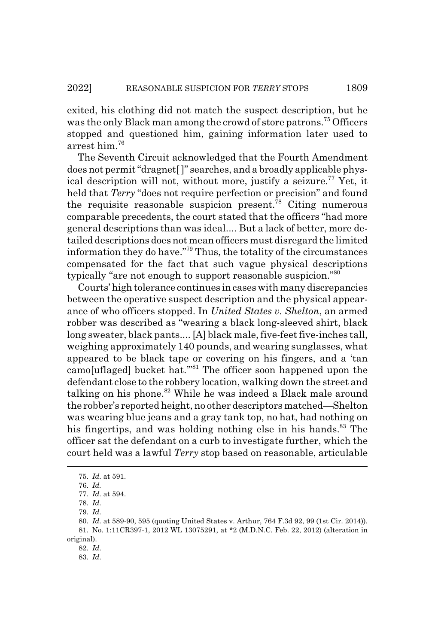exited, his clothing did not match the suspect description, but he was the only Black man among the crowd of store patrons.<sup>75</sup> Officers stopped and questioned him, gaining information later used to arrest him.76

The Seventh Circuit acknowledged that the Fourth Amendment does not permit "dragnet[ ]" searches, and a broadly applicable physical description will not, without more, justify a seizure.<sup>77</sup> Yet, it held that *Terry* "does not require perfection or precision" and found the requisite reasonable suspicion present.<sup>78</sup> Citing numerous comparable precedents, the court stated that the officers "had more general descriptions than was ideal.... But a lack of better, more detailed descriptions does not mean officers must disregard the limited information they do have."79 Thus, the totality of the circumstances compensated for the fact that such vague physical descriptions typically "are not enough to support reasonable suspicion."80

Courts' high tolerance continues in cases with many discrepancies between the operative suspect description and the physical appearance of who officers stopped. In *United States v. Shelton*, an armed robber was described as "wearing a black long-sleeved shirt, black long sweater, black pants.... [A] black male, five-feet five-inches tall, weighing approximately 140 pounds, and wearing sunglasses, what appeared to be black tape or covering on his fingers, and a 'tan camo[uflaged] bucket hat.'"81 The officer soon happened upon the defendant close to the robbery location, walking down the street and talking on his phone.<sup>82</sup> While he was indeed a Black male around the robber's reported height, no other descriptors matched—Shelton was wearing blue jeans and a gray tank top, no hat, had nothing on his fingertips, and was holding nothing else in his hands.<sup>83</sup> The officer sat the defendant on a curb to investigate further, which the court held was a lawful *Terry* stop based on reasonable, articulable

<sup>75.</sup> *Id.* at 591.

<sup>76.</sup> *Id.*

<sup>77.</sup> *Id.* at 594.

<sup>78.</sup> *Id.*

<sup>79.</sup> *Id.*

<sup>80.</sup> *Id.* at 589-90, 595 (quoting United States v. Arthur, 764 F.3d 92, 99 (1st Cir. 2014)). 81. No. 1:11CR397-1, 2012 WL 13075291, at \*2 (M.D.N.C. Feb. 22, 2012) (alteration in original).

<sup>82.</sup> *Id.*

<sup>83.</sup> *Id.*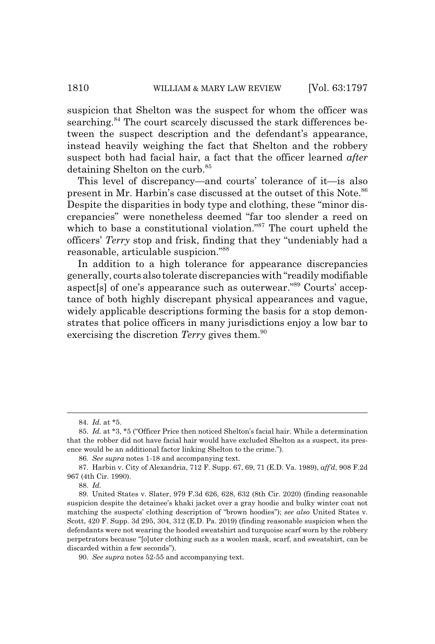suspicion that Shelton was the suspect for whom the officer was searching.<sup>84</sup> The court scarcely discussed the stark differences between the suspect description and the defendant's appearance, instead heavily weighing the fact that Shelton and the robbery suspect both had facial hair, a fact that the officer learned *after* detaining Shelton on the curb.<sup>85</sup>

This level of discrepancy—and courts' tolerance of it—is also present in Mr. Harbin's case discussed at the outset of this Note.<sup>86</sup> Despite the disparities in body type and clothing, these "minor discrepancies" were nonetheless deemed "far too slender a reed on which to base a constitutional violation."<sup>87</sup> The court upheld the officers' *Terry* stop and frisk, finding that they "undeniably had a reasonable, articulable suspicion."88

In addition to a high tolerance for appearance discrepancies generally, courts also tolerate discrepancies with "readily modifiable aspect[s] of one's appearance such as outerwear."89 Courts' acceptance of both highly discrepant physical appearances and vague, widely applicable descriptions forming the basis for a stop demonstrates that police officers in many jurisdictions enjoy a low bar to exercising the discretion *Terry* gives them.<sup>90</sup>

<sup>84.</sup> *Id.* at \*5.

<sup>85.</sup> *Id.* at \*3, \*5 ("Officer Price then noticed Shelton's facial hair. While a determination that the robber did not have facial hair would have excluded Shelton as a suspect, its presence would be an additional factor linking Shelton to the crime.").

<sup>86.</sup> *See supra* notes 1-18 and accompanying text.

<sup>87.</sup> Harbin v. City of Alexandria, 712 F. Supp. 67, 69, 71 (E.D. Va. 1989), *aff'd*, 908 F.2d 967 (4th Cir. 1990).

<sup>88.</sup> *Id.*

<sup>89.</sup> United States v. Slater, 979 F.3d 626, 628, 632 (8th Cir. 2020) (finding reasonable suspicion despite the detainee's khaki jacket over a gray hoodie and bulky winter coat not matching the suspects' clothing description of "brown hoodies"); *see also* United States v. Scott, 420 F. Supp. 3d 295, 304, 312 (E.D. Pa. 2019) (finding reasonable suspicion when the defendants were not wearing the hooded sweatshirt and turquoise scarf worn by the robbery perpetrators because "[o]uter clothing such as a woolen mask, scarf, and sweatshirt, can be discarded within a few seconds").

<sup>90.</sup> *See supra* notes 52-55 and accompanying text.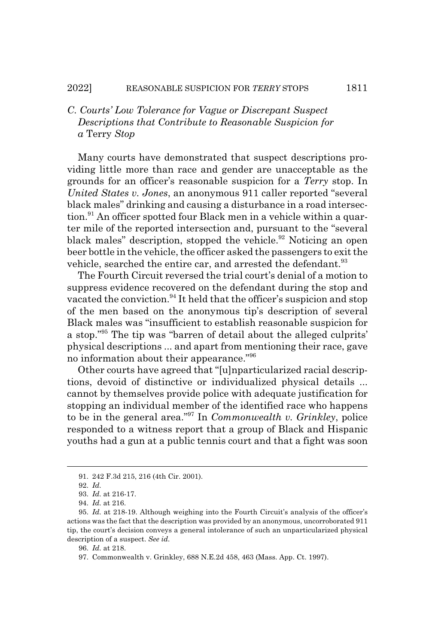# *C. Courts' Low Tolerance for Vague or Discrepant Suspect Descriptions that Contribute to Reasonable Suspicion for a* Terry *Stop*

Many courts have demonstrated that suspect descriptions providing little more than race and gender are unacceptable as the grounds for an officer's reasonable suspicion for a *Terry* stop. In *United States v. Jones*, an anonymous 911 caller reported "several black males" drinking and causing a disturbance in a road intersec- $\chi$  tion.<sup>91</sup> An officer spotted four Black men in a vehicle within a quarter mile of the reported intersection and, pursuant to the "several black males" description, stopped the vehicle.<sup>92</sup> Noticing an open beer bottle in the vehicle, the officer asked the passengers to exit the vehicle, searched the entire car, and arrested the defendant.<sup>93</sup>

The Fourth Circuit reversed the trial court's denial of a motion to suppress evidence recovered on the defendant during the stop and vacated the conviction.<sup>94</sup> It held that the officer's suspicion and stop of the men based on the anonymous tip's description of several Black males was "insufficient to establish reasonable suspicion for a stop."95 The tip was "barren of detail about the alleged culprits' physical descriptions ... and apart from mentioning their race, gave no information about their appearance."96

Other courts have agreed that "[u]nparticularized racial descriptions, devoid of distinctive or individualized physical details ... cannot by themselves provide police with adequate justification for stopping an individual member of the identified race who happens to be in the general area."97 In *Commonwealth v. Grinkley*, police responded to a witness report that a group of Black and Hispanic youths had a gun at a public tennis court and that a fight was soon

<sup>91. 242</sup> F.3d 215, 216 (4th Cir. 2001).

<sup>92.</sup> *Id.*

<sup>93.</sup> *Id.* at 216-17.

<sup>94.</sup> *Id.* at 216.

<sup>95.</sup> *Id.* at 218-19. Although weighing into the Fourth Circuit's analysis of the officer's actions was the fact that the description was provided by an anonymous, uncorroborated 911 tip, the court's decision conveys a general intolerance of such an unparticularized physical description of a suspect. *See id.*

<sup>96.</sup> *Id.* at 218.

<sup>97.</sup> Commonwealth v. Grinkley, 688 N.E.2d 458, 463 (Mass. App. Ct. 1997).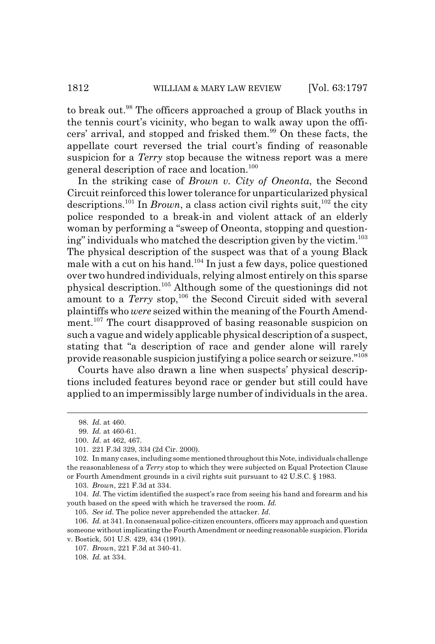to break out.98 The officers approached a group of Black youths in the tennis court's vicinity, who began to walk away upon the officers' arrival, and stopped and frisked them.<sup>99</sup> On these facts, the appellate court reversed the trial court's finding of reasonable suspicion for a *Terry* stop because the witness report was a mere general description of race and location.100

In the striking case of *Brown v. City of Oneonta*, the Second Circuit reinforced this lower tolerance for unparticularized physical descriptions.<sup>101</sup> In *Brown*, a class action civil rights suit,<sup>102</sup> the city police responded to a break-in and violent attack of an elderly woman by performing a "sweep of Oneonta, stopping and questioning" individuals who matched the description given by the victim. $103$ The physical description of the suspect was that of a young Black male with a cut on his hand.<sup>104</sup> In just a few days, police questioned over two hundred individuals, relying almost entirely on this sparse physical description.105 Although some of the questionings did not amount to a *Terry* stop,<sup>106</sup> the Second Circuit sided with several plaintiffs who *were* seized within the meaning of the Fourth Amendment.<sup>107</sup> The court disapproved of basing reasonable suspicion on such a vague and widely applicable physical description of a suspect, stating that "a description of race and gender alone will rarely provide reasonable suspicion justifying a police search or seizure."<sup>108</sup>

Courts have also drawn a line when suspects' physical descriptions included features beyond race or gender but still could have applied to an impermissibly large number of individuals in the area.

104. *Id.* The victim identified the suspect's race from seeing his hand and forearm and his youth based on the speed with which he traversed the room. *Id.*

105. *See id.* The police never apprehended the attacker. *Id.*

106. *Id.* at 341. In consensual police-citizen encounters, officers may approach and question someone without implicating the Fourth Amendment or needing reasonable suspicion. Florida v. Bostick, 501 U.S. 429, 434 (1991).

107. *Brown*, 221 F.3d at 340-41.

108. *Id.* at 334.

<sup>98.</sup> *Id.* at 460.

<sup>99.</sup> *Id.* at 460-61.

<sup>100.</sup> *Id.* at 462, 467.

<sup>101. 221</sup> F.3d 329, 334 (2d Cir. 2000).

<sup>102.</sup> In many cases, including some mentioned throughout this Note, individuals challenge the reasonableness of a *Terry* stop to which they were subjected on Equal Protection Clause or Fourth Amendment grounds in a civil rights suit pursuant to 42 U.S.C. § 1983.

<sup>103.</sup> *Brown*, 221 F.3d at 334.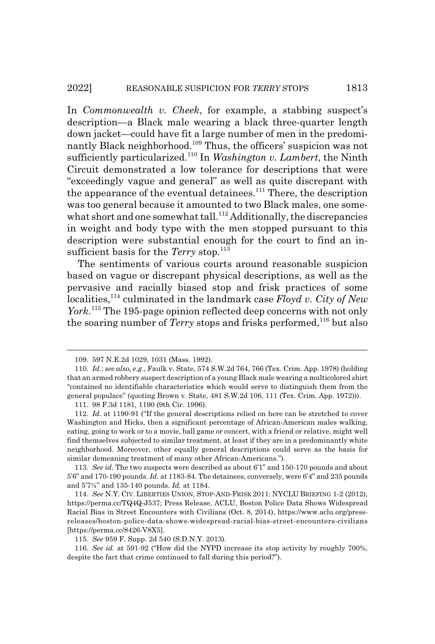In *Commonwealth v. Cheek*, for example, a stabbing suspect's description—a Black male wearing a black three-quarter length down jacket—could have fit a large number of men in the predominantly Black neighborhood.109 Thus, the officers' suspicion was not sufficiently particularized.110 In *Washington v. Lambert*, the Ninth Circuit demonstrated a low tolerance for descriptions that were "exceedingly vague and general" as well as quite discrepant with the appearance of the eventual detainees.<sup>111</sup> There, the description was too general because it amounted to two Black males, one somewhat short and one somewhat tall.<sup>112</sup> Additionally, the discrepancies in weight and body type with the men stopped pursuant to this description were substantial enough for the court to find an insufficient basis for the *Terry* stop.<sup>113</sup>

The sentiments of various courts around reasonable suspicion based on vague or discrepant physical descriptions, as well as the pervasive and racially biased stop and frisk practices of some localities,<sup>114</sup> culminated in the landmark case *Floyd v. City of New York*. 115 The 195-page opinion reflected deep concerns with not only the soaring number of *Terry* stops and frisks performed,<sup>116</sup> but also

<sup>109. 597</sup> N.E.2d 1029, 1031 (Mass. 1992).

<sup>110.</sup> *Id.*; *see also, e.g.*, Faulk v. State, 574 S.W.2d 764, 766 (Tex. Crim. App. 1978) (holding that an armed robbery suspect description of a young Black male wearing a multicolored shirt "contained no identifiable characteristics which would serve to distinguish them from the general populace" (quoting Brown v. State, 481 S.W.2d 106, 111 (Tex. Crim. App. 1972))).

<sup>111. 98</sup> F.3d 1181, 1190 (9th Cir. 1996).

<sup>112.</sup> *Id.* at 1190-91 ("If the general descriptions relied on here can be stretched to cover Washington and Hicks, then a significant percentage of African-American males walking, eating, going to work or to a movie, ball game or concert, with a friend or relative, might well find themselves subjected to similar treatment, at least if they are in a predominantly white neighborhood. Moreover, other equally general descriptions could serve as the basis for similar demeaning treatment of many other African-Americans.").

<sup>113.</sup> *See id.* The two suspects were described as about 6'1" and 150-170 pounds and about 5'6" and 170-190 pounds. *Id.* at 1183-84. The detainees, conversely, were 6'4" and 235 pounds and 5'7½" and 135-140 pounds. *Id.* at 1184.

<sup>114.</sup> *See* N.Y. CIV. LIBERTIES UNION, STOP-AND-FRISK 2011: NYCLU BRIEFING 1-2 (2012), https://perma.cc/TQ4Q-J537; Press Release, ACLU, Boston Police Data Shows Widespread Racial Bias in Street Encounters with Civilians (Oct. 8, 2014), https://www.aclu.org/pressreleases/boston-police-data-shows-widespread-racial-bias-street-encounters-civilians [https://perma.cc/8426-V8X5].

<sup>115.</sup> *See* 959 F. Supp. 2d 540 (S.D.N.Y. 2013).

<sup>116.</sup> *See id.* at 591-92 ("How did the NYPD increase its stop activity by roughly 700%, despite the fact that crime continued to fall during this period?").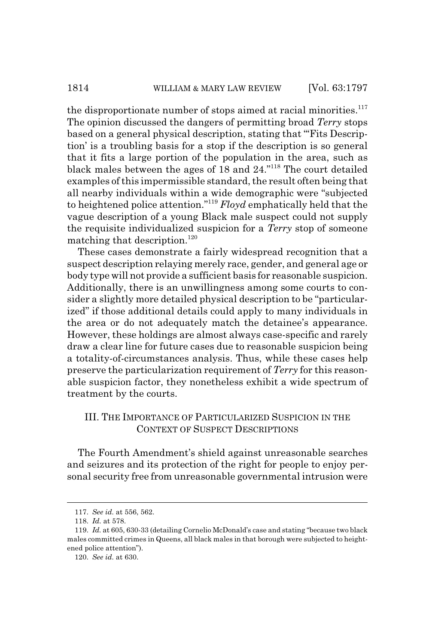the disproportionate number of stops aimed at racial minorities. $117$ The opinion discussed the dangers of permitting broad *Terry* stops based on a general physical description, stating that "'Fits Description' is a troubling basis for a stop if the description is so general that it fits a large portion of the population in the area, such as black males between the ages of 18 and 24."118 The court detailed examples of this impermissible standard, the result often being that all nearby individuals within a wide demographic were "subjected to heightened police attention."119 *Floyd* emphatically held that the vague description of a young Black male suspect could not supply the requisite individualized suspicion for a *Terry* stop of someone matching that description.<sup>120</sup>

These cases demonstrate a fairly widespread recognition that a suspect description relaying merely race, gender, and general age or body type will not provide a sufficient basis for reasonable suspicion. Additionally, there is an unwillingness among some courts to consider a slightly more detailed physical description to be "particularized" if those additional details could apply to many individuals in the area or do not adequately match the detainee's appearance. However, these holdings are almost always case-specific and rarely draw a clear line for future cases due to reasonable suspicion being a totality-of-circumstances analysis. Thus, while these cases help preserve the particularization requirement of *Terry* for this reasonable suspicion factor, they nonetheless exhibit a wide spectrum of treatment by the courts.

#### III. THE IMPORTANCE OF PARTICULARIZED SUSPICION IN THE CONTEXT OF SUSPECT DESCRIPTIONS

The Fourth Amendment's shield against unreasonable searches and seizures and its protection of the right for people to enjoy personal security free from unreasonable governmental intrusion were

<sup>117.</sup> *See id.* at 556, 562.

<sup>118.</sup> *Id.* at 578.

<sup>119.</sup> *Id.* at 605, 630-33 (detailing Cornelio McDonald's case and stating "because two black males committed crimes in Queens, all black males in that borough were subjected to heightened police attention").

<sup>120.</sup> *See id.* at 630.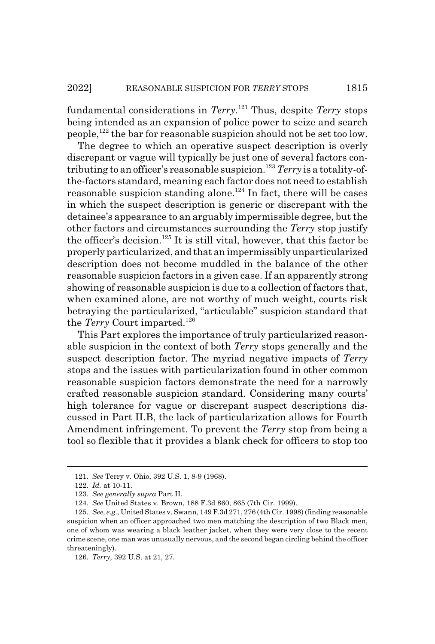fundamental considerations in *Terry*. 121 Thus, despite *Terry* stops being intended as an expansion of police power to seize and search people,122 the bar for reasonable suspicion should not be set too low.

The degree to which an operative suspect description is overly discrepant or vague will typically be just one of several factors contributing to an officer's reasonable suspicion.<sup>123</sup> Terry is a totality-ofthe-factors standard, meaning each factor does not need to establish reasonable suspicion standing alone.<sup>124</sup> In fact, there will be cases in which the suspect description is generic or discrepant with the detainee's appearance to an arguably impermissible degree, but the other factors and circumstances surrounding the *Terry* stop justify the officer's decision.<sup>125</sup> It is still vital, however, that this factor be properly particularized, and that an impermissibly unparticularized description does not become muddled in the balance of the other reasonable suspicion factors in a given case. If an apparently strong showing of reasonable suspicion is due to a collection of factors that, when examined alone, are not worthy of much weight, courts risk betraying the particularized, "articulable" suspicion standard that the *Terry* Court imparted.<sup>126</sup>

This Part explores the importance of truly particularized reasonable suspicion in the context of both *Terry* stops generally and the suspect description factor. The myriad negative impacts of *Terry* stops and the issues with particularization found in other common reasonable suspicion factors demonstrate the need for a narrowly crafted reasonable suspicion standard. Considering many courts' high tolerance for vague or discrepant suspect descriptions discussed in Part II.B, the lack of particularization allows for Fourth Amendment infringement. To prevent the *Terry* stop from being a tool so flexible that it provides a blank check for officers to stop too

<sup>121.</sup> *See* Terry v. Ohio, 392 U.S. 1, 8-9 (1968).

<sup>122.</sup> *Id.* at 10-11.

<sup>123.</sup> *See generally supra* Part II.

<sup>124.</sup> *See* United States v. Brown, 188 F.3d 860, 865 (7th Cir. 1999).

<sup>125.</sup> *See, e.g.*, United States v. Swann, 149 F.3d 271, 276 (4th Cir. 1998) (finding reasonable suspicion when an officer approached two men matching the description of two Black men, one of whom was wearing a black leather jacket, when they were very close to the recent crime scene, one man was unusually nervous, and the second began circling behind the officer threateningly).

<sup>126.</sup> *Terry*, 392 U.S. at 21, 27.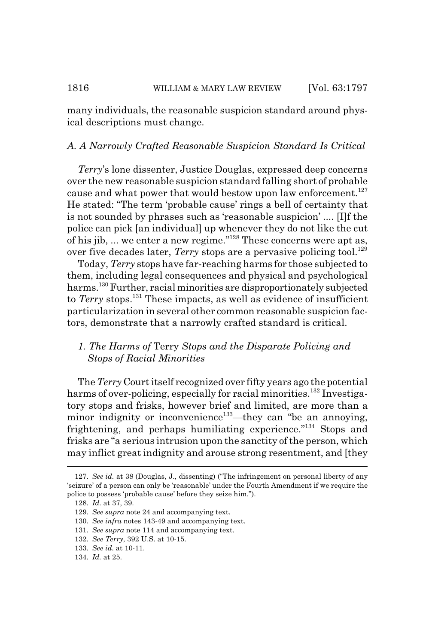many individuals, the reasonable suspicion standard around physical descriptions must change.

#### *A. A Narrowly Crafted Reasonable Suspicion Standard Is Critical*

*Terry*'s lone dissenter, Justice Douglas, expressed deep concerns over the new reasonable suspicion standard falling short of probable cause and what power that would bestow upon law enforcement.<sup>127</sup> He stated: "The term 'probable cause' rings a bell of certainty that is not sounded by phrases such as 'reasonable suspicion' .... [I]f the police can pick [an individual] up whenever they do not like the cut of his jib, ... we enter a new regime."128 These concerns were apt as, over five decades later, *Terry* stops are a pervasive policing tool.<sup>129</sup>

Today, *Terry* stops have far-reaching harms for those subjected to them, including legal consequences and physical and psychological harms.130 Further, racial minorities are disproportionately subjected to *Terry* stops.131 These impacts, as well as evidence of insufficient particularization in several other common reasonable suspicion factors, demonstrate that a narrowly crafted standard is critical.

## *1. The Harms of* Terry *Stops and the Disparate Policing and Stops of Racial Minorities*

The*Terry* Court itself recognized over fifty years ago the potential harms of over-policing, especially for racial minorities.<sup>132</sup> Investigatory stops and frisks, however brief and limited, are more than a minor indignity or inconvenience<sup>133</sup>—they can "be an annoying, frightening, and perhaps humiliating experience."134 Stops and frisks are "a serious intrusion upon the sanctity of the person, which may inflict great indignity and arouse strong resentment, and [they

130. *See infra* notes 143-49 and accompanying text.

<sup>127.</sup> *See id.* at 38 (Douglas, J., dissenting) ("The infringement on personal liberty of any 'seizure' of a person can only be 'reasonable' under the Fourth Amendment if we require the police to possess 'probable cause' before they seize him.").

<sup>128.</sup> *Id.* at 37, 39.

<sup>129.</sup> *See supra* note 24 and accompanying text.

<sup>131.</sup> *See supra* note 114 and accompanying text.

<sup>132.</sup> *See Terry*, 392 U.S. at 10-15.

<sup>133.</sup> *See id.* at 10-11.

<sup>134.</sup> *Id.* at 25.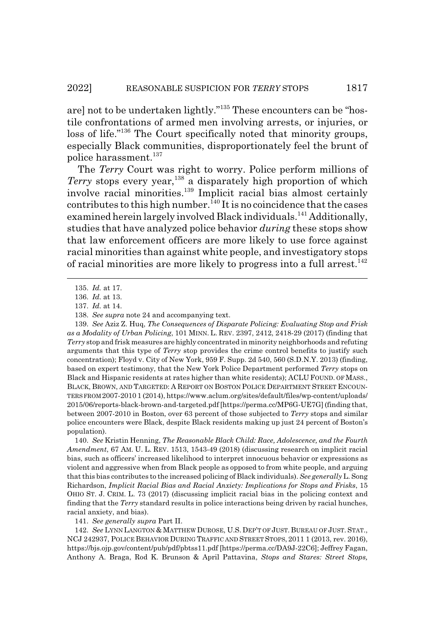are] not to be undertaken lightly."135 These encounters can be "hostile confrontations of armed men involving arrests, or injuries, or loss of life."136 The Court specifically noted that minority groups, especially Black communities, disproportionately feel the brunt of police harassment.137

The *Terry* Court was right to worry. Police perform millions of *Terry* stops every year,<sup>138</sup> a disparately high proportion of which involve racial minorities.<sup>139</sup> Implicit racial bias almost certainly contributes to this high number.  ${}^{\bar{1}40}$  It is no coincidence that the cases examined herein largely involved Black individuals.<sup>141</sup> Additionally, studies that have analyzed police behavior *during* these stops show that law enforcement officers are more likely to use force against racial minorities than against white people, and investigatory stops of racial minorities are more likely to progress into a full arrest.<sup>142</sup>

139. *See* Aziz Z. Huq, *The Consequences of Disparate Policing: Evaluating Stop and Frisk as a Modality of Urban Policing*, 101 MINN. L. REV. 2397, 2412, 2418-29 (2017) (finding that *Terry* stop and frisk measures are highly concentrated in minority neighborhoods and refuting arguments that this type of *Terry* stop provides the crime control benefits to justify such concentration); Floyd v. City of New York, 959 F. Supp. 2d 540, 560 (S.D.N.Y. 2013) (finding, based on expert testimony, that the New York Police Department performed *Terry* stops on Black and Hispanic residents at rates higher than white residents); ACLU FOUND. OF MASS., BLACK, BROWN, AND TARGETED: A REPORT ON BOSTON POLICE DEPARTMENT STREET ENCOUN-TERS FROM 2007-2010 1 (2014), https://www.aclum.org/sites/default/files/wp-content/uploads/ 2015/06/reports-black-brown-and-targeted.pdf [https://perma.cc/MP6G-UE7G] (finding that, between 2007-2010 in Boston, over 63 percent of those subjected to *Terry* stops and similar police encounters were Black, despite Black residents making up just 24 percent of Boston's population).

140. *See* Kristin Henning, *The Reasonable Black Child: Race, Adolescence, and the Fourth Amendment*, 67 AM. U. L. REV. 1513, 1543-49 (2018) (discussing research on implicit racial bias, such as officers' increased likelihood to interpret innocuous behavior or expressions as violent and aggressive when from Black people as opposed to from white people, and arguing that this bias contributes to the increased policing of Black individuals). *See generally* L. Song Richardson, *Implicit Racial Bias and Racial Anxiety: Implications for Stops and Frisks*, 15 OHIO ST. J. CRIM. L. 73 (2017) (discussing implicit racial bias in the policing context and finding that the *Terry* standard results in police interactions being driven by racial hunches, racial anxiety, and bias).

141. *See generally supra* Part II.

142. *See* LYNN LANGTON & MATTHEW DUROSE, U.S. DEP'T OF JUST. BUREAU OF JUST. STAT., NCJ 242937, POLICE BEHAVIOR DURING TRAFFIC AND STREET STOPS, 2011 1 (2013, rev. 2016), https://bjs.ojp.gov/content/pub/pdf/pbtss11.pdf [https://perma.cc/DA9J-22C6]; Jeffrey Fagan, Anthony A. Braga, Rod K. Brunson & April Pattavina, *Stops and Stares: Street Stops,*

<sup>135.</sup> *Id.* at 17.

<sup>136.</sup> *Id.* at 13.

<sup>137.</sup> *Id.* at 14.

<sup>138.</sup> *See supra* note 24 and accompanying text.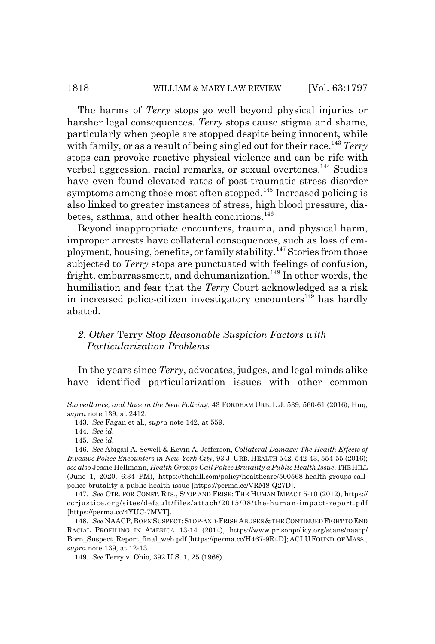#### 1818 WILLIAM & MARY LAW REVIEW [Vol. 63:1797

The harms of *Terry* stops go well beyond physical injuries or harsher legal consequences. *Terry* stops cause stigma and shame, particularly when people are stopped despite being innocent, while with family, or as a result of being singled out for their race.<sup>143</sup> *Terry* stops can provoke reactive physical violence and can be rife with verbal aggression, racial remarks, or sexual overtones.<sup>144</sup> Studies have even found elevated rates of post-traumatic stress disorder symptoms among those most often stopped.<sup>145</sup> Increased policing is also linked to greater instances of stress, high blood pressure, diabetes, asthma, and other health conditions.<sup>146</sup>

Beyond inappropriate encounters, trauma, and physical harm, improper arrests have collateral consequences, such as loss of employment, housing, benefits, or family stability.147 Stories from those subjected to *Terry* stops are punctuated with feelings of confusion, fright, embarrassment, and dehumanization.<sup>148</sup> In other words, the humiliation and fear that the *Terry* Court acknowledged as a risk in increased police-citizen investigatory encounters<sup>149</sup> has hardly abated.

#### *2. Other* Terry *Stop Reasonable Suspicion Factors with Particularization Problems*

In the years since *Terry*, advocates, judges, and legal minds alike have identified particularization issues with other common

*Surveillance, and Race in the New Policing*, 43 FORDHAM URB. L.J. 539, 560-61 (2016); Huq, *supra* note 139, at 2412.

143. *See* Fagan et al., *supra* note 142, at 559.

144. *See id.*

145. *See id.*

146. *See* Abigail A. Sewell & Kevin A. Jefferson, *Collateral Damage: The Health Effects of Invasive Police Encounters in New York City*, 93 J. URB. HEALTH 542, 542-43, 554-55 (2016); *see also* Jessie Hellmann, *Health Groups Call Police Brutality a Public Health Issue*, THE HILL (June 1, 2020, 6:34 PM), https://thehill.com/policy/healthcare/500568-health-groups-callpolice-brutality-a-public-health-issue [https://perma.cc/VRM8-Q27D].

147. *See* CTR. FOR CONST. RTS., STOP AND FRISK: THE HUMAN IMPACT 5-10 (2012), https:// ccrjustice.org/sites/default/files/attach/2015/08/the-human-impact-report.pdf [https://perma.cc/4YUC-7MVT].

148. See NAACP, BORN SUSPECT: STOP-AND-FRISK ABUSES & THE CONTINUED FIGHT TO END RACIAL PROFILING IN AMERICA 13-14 (2014), https://www.prisonpolicy.org/scans/naacp/ Born\_Suspect\_Report\_final\_web.pdf [https://perma.cc/H467-9R4D]; ACLU FOUND. OF MASS., *supra* note 139, at 12-13.

149. *See* Terry v. Ohio, 392 U.S. 1, 25 (1968).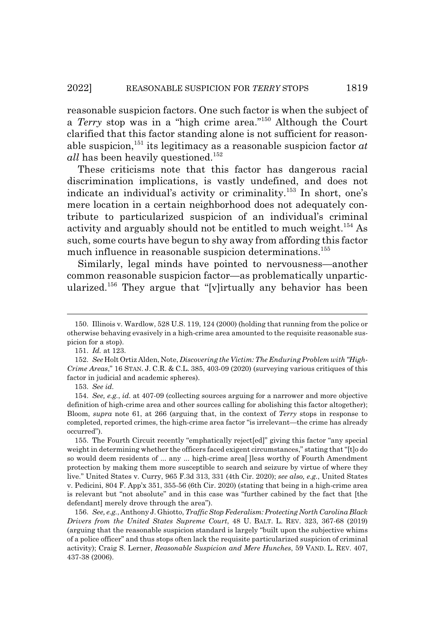reasonable suspicion factors. One such factor is when the subject of a *Terry* stop was in a "high crime area."150 Although the Court clarified that this factor standing alone is not sufficient for reasonable suspicion,<sup>151</sup> its legitimacy as a reasonable suspicion factor  $at$ *all* has been heavily questioned.<sup>152</sup>

These criticisms note that this factor has dangerous racial discrimination implications, is vastly undefined, and does not indicate an individual's activity or criminality.153 In short, one's mere location in a certain neighborhood does not adequately contribute to particularized suspicion of an individual's criminal activity and arguably should not be entitled to much weight.<sup>154</sup> As such, some courts have begun to shy away from affording this factor much influence in reasonable suspicion determinations.<sup>155</sup>

Similarly, legal minds have pointed to nervousness—another common reasonable suspicion factor—as problematically unparticularized.156 They argue that "[v]irtually any behavior has been

153. *See id.*

<sup>150.</sup> Illinois v. Wardlow, 528 U.S. 119, 124 (2000) (holding that running from the police or otherwise behaving evasively in a high-crime area amounted to the requisite reasonable suspicion for a stop).

<sup>151.</sup> *Id.* at 123.

<sup>152.</sup> *See* Holt Ortiz Alden, Note, *Discovering the Victim: The Enduring Problem with "High-Crime Areas*," 16 STAN. J. C.R. & C.L. 385, 403-09 (2020) (surveying various critiques of this factor in judicial and academic spheres).

<sup>154.</sup> *See, e.g.*, *id.* at 407-09 (collecting sources arguing for a narrower and more objective definition of high-crime area and other sources calling for abolishing this factor altogether); Bloom, *supra* note 61, at 266 (arguing that, in the context of *Terry* stops in response to completed, reported crimes, the high-crime area factor "is irrelevant—the crime has already occurred").

<sup>155.</sup> The Fourth Circuit recently "emphatically reject[ed]" giving this factor "any special weight in determining whether the officers faced exigent circumstances," stating that "[t]o do so would deem residents of ... any ... high-crime area[ ]less worthy of Fourth Amendment protection by making them more susceptible to search and seizure by virtue of where they live." United States v. Curry, 965 F.3d 313, 331 (4th Cir. 2020); *see also, e.g.*, United States v. Pedicini, 804 F. App'x 351, 355-56 (6th Cir. 2020) (stating that being in a high-crime area is relevant but "not absolute" and in this case was "further cabined by the fact that [the defendant] merely drove through the area").

<sup>156.</sup> *See, e.g.*, Anthony J. Ghiotto, *Traffic Stop Federalism: Protecting North Carolina Black Drivers from the United States Supreme Court*, 48 U. BALT. L. REV. 323, 367-68 (2019) (arguing that the reasonable suspicion standard is largely "built upon the subjective whims of a police officer" and thus stops often lack the requisite particularized suspicion of criminal activity); Craig S. Lerner, *Reasonable Suspicion and Mere Hunches*, 59 VAND. L. REV. 407, 437-38 (2006).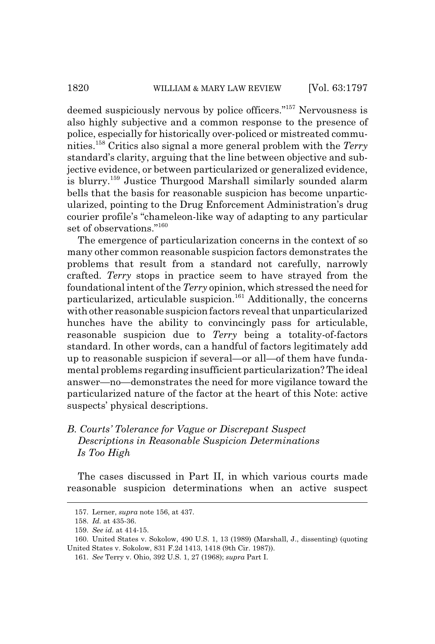deemed suspiciously nervous by police officers."157 Nervousness is also highly subjective and a common response to the presence of police, especially for historically over-policed or mistreated communities.158 Critics also signal a more general problem with the *Terry* standard's clarity, arguing that the line between objective and subjective evidence, or between particularized or generalized evidence, is blurry.159 Justice Thurgood Marshall similarly sounded alarm bells that the basis for reasonable suspicion has become unparticularized, pointing to the Drug Enforcement Administration's drug courier profile's "chameleon-like way of adapting to any particular set of observations."<sup>160</sup>

The emergence of particularization concerns in the context of so many other common reasonable suspicion factors demonstrates the problems that result from a standard not carefully, narrowly crafted. *Terry* stops in practice seem to have strayed from the foundational intent of the *Terry* opinion, which stressed the need for particularized, articulable suspicion.<sup>161</sup> Additionally, the concerns with other reasonable suspicion factors reveal that unparticularized hunches have the ability to convincingly pass for articulable, reasonable suspicion due to *Terry* being a totality-of-factors standard. In other words, can a handful of factors legitimately add up to reasonable suspicion if several—or all—of them have fundamental problems regarding insufficient particularization? The ideal answer—no—demonstrates the need for more vigilance toward the particularized nature of the factor at the heart of this Note: active suspects' physical descriptions.

# *B. Courts' Tolerance for Vague or Discrepant Suspect Descriptions in Reasonable Suspicion Determinations Is Too High*

The cases discussed in Part II, in which various courts made reasonable suspicion determinations when an active suspect

<sup>157.</sup> Lerner, *supra* note 156, at 437.

<sup>158.</sup> *Id.* at 435-36.

<sup>159.</sup> *See id.* at 414-15.

<sup>160.</sup> United States v. Sokolow, 490 U.S. 1, 13 (1989) (Marshall, J., dissenting) (quoting United States v. Sokolow, 831 F.2d 1413, 1418 (9th Cir. 1987)).

<sup>161.</sup> *See* Terry v. Ohio, 392 U.S. 1, 27 (1968); *supra* Part I.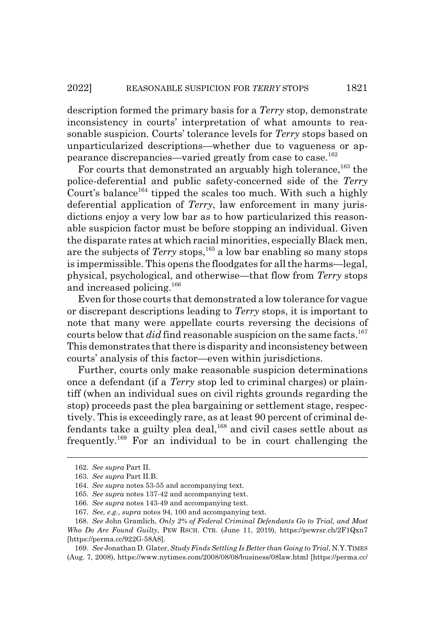description formed the primary basis for a *Terry* stop, demonstrate inconsistency in courts' interpretation of what amounts to reasonable suspicion. Courts' tolerance levels for *Terry* stops based on unparticularized descriptions—whether due to vagueness or appearance discrepancies—varied greatly from case to case.162

For courts that demonstrated an arguably high tolerance,<sup>163</sup> the police-deferential and public safety-concerned side of the *Terry* Court's balance<sup>164</sup> tipped the scales too much. With such a highly deferential application of *Terry*, law enforcement in many jurisdictions enjoy a very low bar as to how particularized this reasonable suspicion factor must be before stopping an individual. Given the disparate rates at which racial minorities, especially Black men, are the subjects of *Terry* stops,<sup>165</sup> a low bar enabling so many stops is impermissible. This opens the floodgates for all the harms—legal, physical, psychological, and otherwise—that flow from *Terry* stops and increased policing.<sup>166</sup>

Even for those courts that demonstrated a low tolerance for vague or discrepant descriptions leading to *Terry* stops, it is important to note that many were appellate courts reversing the decisions of courts below that *did* find reasonable suspicion on the same facts.<sup>167</sup> This demonstrates that there is disparity and inconsistency between courts' analysis of this factor—even within jurisdictions.

Further, courts only make reasonable suspicion determinations once a defendant (if a *Terry* stop led to criminal charges) or plaintiff (when an individual sues on civil rights grounds regarding the stop) proceeds past the plea bargaining or settlement stage, respectively. This is exceedingly rare, as at least 90 percent of criminal defendants take a guilty plea deal, $^{168}$  and civil cases settle about as frequently.169 For an individual to be in court challenging the

<sup>162.</sup> *See supra* Part II.

<sup>163.</sup> *See supra* Part II.B.

<sup>164.</sup> *See supra* notes 53-55 and accompanying text.

<sup>165.</sup> *See supra* notes 137-42 and accompanying text.

<sup>166.</sup> *See supra* notes 143-49 and accompanying text.

<sup>167.</sup> *See, e.g.*, *supra* notes 94, 100 and accompanying text.

<sup>168.</sup> *See* John Gramlich, *Only 2% of Federal Criminal Defendants Go to Trial, and Most Who Do Are Found Guilty*, PEW RSCH. CTR. (June 11, 2019), https://pewrsr.ch/2F1Qxn7 [https://perma.cc/922G-58A8].

<sup>169.</sup> *See* Jonathan D. Glater, *Study Finds Settling Is Better than Going to Trial*, N.Y.TIMES (Aug. 7, 2008), https://www.nytimes.com/2008/08/08/business/08law.html [https://perma.cc/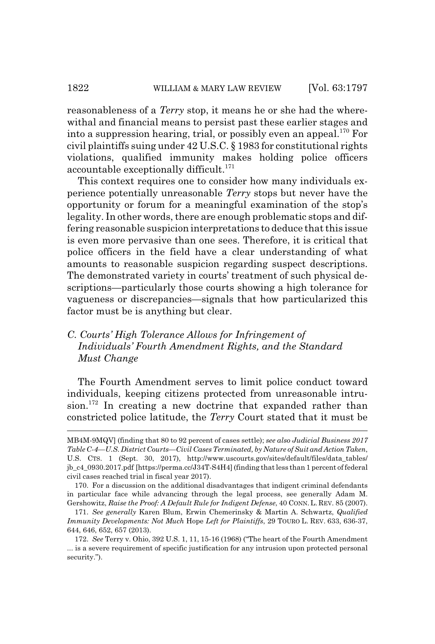reasonableness of a *Terry* stop, it means he or she had the wherewithal and financial means to persist past these earlier stages and into a suppression hearing, trial, or possibly even an appeal.<sup>170</sup> For civil plaintiffs suing under 42 U.S.C. § 1983 for constitutional rights violations, qualified immunity makes holding police officers accountable exceptionally difficult.<sup>171</sup>

This context requires one to consider how many individuals experience potentially unreasonable *Terry* stops but never have the opportunity or forum for a meaningful examination of the stop's legality. In other words, there are enough problematic stops and differing reasonable suspicion interpretations to deduce that this issue is even more pervasive than one sees. Therefore, it is critical that police officers in the field have a clear understanding of what amounts to reasonable suspicion regarding suspect descriptions. The demonstrated variety in courts' treatment of such physical descriptions—particularly those courts showing a high tolerance for vagueness or discrepancies—signals that how particularized this factor must be is anything but clear.

# *C. Courts' High Tolerance Allows for Infringement of Individuals' Fourth Amendment Rights, and the Standard Must Change*

The Fourth Amendment serves to limit police conduct toward individuals, keeping citizens protected from unreasonable intru $sion.<sup>172</sup>$  In creating a new doctrine that expanded rather than constricted police latitude, the *Terry* Court stated that it must be

MB4M-9MQV] (finding that 80 to 92 percent of cases settle); *see also Judicial Business 2017 Table C-4—U.S. District Courts—Civil Cases Terminated, by Nature of Suit and Action Taken*, U.S. CTS. 1 (Sept. 30, 2017), http://www.uscourts.gov/sites/default/files/data\_tables/ jb\_c4\_0930.2017.pdf [https://perma.cc/J34T-S4H4] (finding that less than 1 percent of federal civil cases reached trial in fiscal year 2017).

<sup>170.</sup> For a discussion on the additional disadvantages that indigent criminal defendants in particular face while advancing through the legal process, see generally Adam M. Gershowitz, *Raise the Proof: A Default Rule for Indigent Defense*, 40 CONN. L. REV. 85 (2007).

<sup>171.</sup> *See generally* Karen Blum, Erwin Chemerinsky & Martin A. Schwartz, *Qualified Immunity Developments: Not Much* Hope *Left for Plaintiffs*, 29 TOURO L. REV. 633, 636-37, 644, 646, 652, 657 (2013).

<sup>172.</sup> *See* Terry v. Ohio, 392 U.S. 1, 11, 15-16 (1968) ("The heart of the Fourth Amendment ... is a severe requirement of specific justification for any intrusion upon protected personal security.").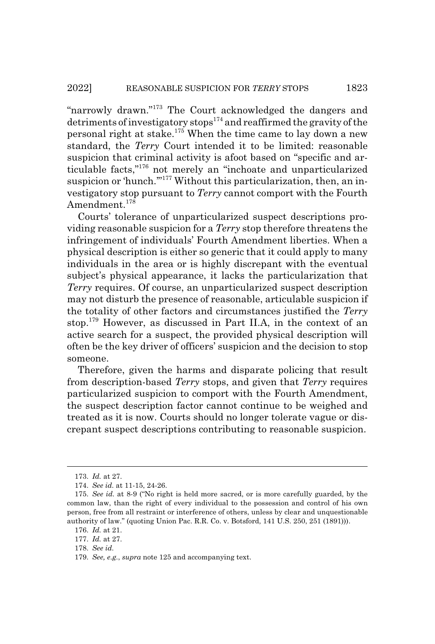"narrowly drawn."173 The Court acknowledged the dangers and detriments of investigatory stops $174$  and reaffirmed the gravity of the personal right at stake.175 When the time came to lay down a new standard, the *Terry* Court intended it to be limited: reasonable suspicion that criminal activity is afoot based on "specific and articulable facts,"176 not merely an "inchoate and unparticularized suspicion or 'hunch."<sup>177</sup> Without this particularization, then, an investigatory stop pursuant to *Terry* cannot comport with the Fourth Amendment.<sup>178</sup>

Courts' tolerance of unparticularized suspect descriptions providing reasonable suspicion for a *Terry* stop therefore threatens the infringement of individuals' Fourth Amendment liberties. When a physical description is either so generic that it could apply to many individuals in the area or is highly discrepant with the eventual subject's physical appearance, it lacks the particularization that *Terry* requires. Of course, an unparticularized suspect description may not disturb the presence of reasonable, articulable suspicion if the totality of other factors and circumstances justified the *Terry* stop.179 However, as discussed in Part II.A, in the context of an active search for a suspect, the provided physical description will often be the key driver of officers' suspicion and the decision to stop someone.

Therefore, given the harms and disparate policing that result from description-based *Terry* stops, and given that *Terry* requires particularized suspicion to comport with the Fourth Amendment, the suspect description factor cannot continue to be weighed and treated as it is now. Courts should no longer tolerate vague or discrepant suspect descriptions contributing to reasonable suspicion.

<sup>173.</sup> *Id.* at 27.

<sup>174.</sup> *See id.* at 11-15, 24-26.

<sup>175.</sup> *See id.* at 8-9 ("No right is held more sacred, or is more carefully guarded, by the common law, than the right of every individual to the possession and control of his own person, free from all restraint or interference of others, unless by clear and unquestionable authority of law." (quoting Union Pac. R.R. Co. v. Botsford, 141 U.S. 250, 251 (1891))).

<sup>176.</sup> *Id.* at 21.

<sup>177.</sup> *Id.* at 27.

<sup>178.</sup> *See id.*

<sup>179.</sup> *See, e.g.*, *supra* note 125 and accompanying text.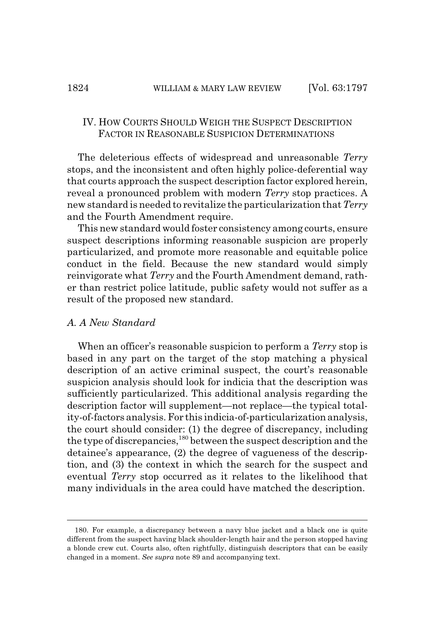### IV. HOW COURTS SHOULD WEIGH THE SUSPECT DESCRIPTION FACTOR IN REASONABLE SUSPICION DETERMINATIONS

The deleterious effects of widespread and unreasonable *Terry* stops, and the inconsistent and often highly police-deferential way that courts approach the suspect description factor explored herein, reveal a pronounced problem with modern *Terry* stop practices. A new standard is needed to revitalize the particularization that *Terry* and the Fourth Amendment require.

This new standard would foster consistency among courts, ensure suspect descriptions informing reasonable suspicion are properly particularized, and promote more reasonable and equitable police conduct in the field. Because the new standard would simply reinvigorate what *Terry* and the Fourth Amendment demand, rather than restrict police latitude, public safety would not suffer as a result of the proposed new standard.

#### *A. A New Standard*

When an officer's reasonable suspicion to perform a *Terry* stop is based in any part on the target of the stop matching a physical description of an active criminal suspect, the court's reasonable suspicion analysis should look for indicia that the description was sufficiently particularized. This additional analysis regarding the description factor will supplement—not replace—the typical totality-of-factors analysis. For this indicia-of-particularization analysis, the court should consider: (1) the degree of discrepancy, including the type of discrepancies,<sup>180</sup> between the suspect description and the detainee's appearance, (2) the degree of vagueness of the description, and (3) the context in which the search for the suspect and eventual *Terry* stop occurred as it relates to the likelihood that many individuals in the area could have matched the description.

<sup>180.</sup> For example, a discrepancy between a navy blue jacket and a black one is quite different from the suspect having black shoulder-length hair and the person stopped having a blonde crew cut. Courts also, often rightfully, distinguish descriptors that can be easily changed in a moment. *See supra* note 89 and accompanying text.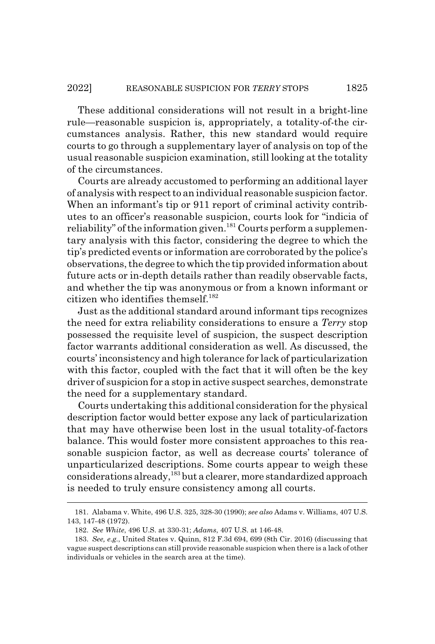These additional considerations will not result in a bright-line rule—reasonable suspicion is, appropriately, a totality-of-the circumstances analysis. Rather, this new standard would require courts to go through a supplementary layer of analysis on top of the usual reasonable suspicion examination, still looking at the totality of the circumstances.

Courts are already accustomed to performing an additional layer of analysis with respect to an individual reasonable suspicion factor. When an informant's tip or 911 report of criminal activity contributes to an officer's reasonable suspicion, courts look for "indicia of reliability" of the information given.<sup>181</sup> Courts perform a supplementary analysis with this factor, considering the degree to which the tip's predicted events or information are corroborated by the police's observations, the degree to which the tip provided information about future acts or in-depth details rather than readily observable facts, and whether the tip was anonymous or from a known informant or citizen who identifies themself. $182$ 

Just as the additional standard around informant tips recognizes the need for extra reliability considerations to ensure a *Terry* stop possessed the requisite level of suspicion, the suspect description factor warrants additional consideration as well. As discussed, the courts' inconsistency and high tolerance for lack of particularization with this factor, coupled with the fact that it will often be the key driver of suspicion for a stop in active suspect searches, demonstrate the need for a supplementary standard.

Courts undertaking this additional consideration for the physical description factor would better expose any lack of particularization that may have otherwise been lost in the usual totality-of-factors balance. This would foster more consistent approaches to this reasonable suspicion factor, as well as decrease courts' tolerance of unparticularized descriptions. Some courts appear to weigh these considerations already,<sup>183</sup> but a clearer, more standardized approach is needed to truly ensure consistency among all courts.

<sup>181.</sup> Alabama v. White, 496 U.S. 325, 328-30 (1990); *see also* Adams v. Williams, 407 U.S. 143, 147-48 (1972).

<sup>182.</sup> *See White*, 496 U.S. at 330-31; *Adams*, 407 U.S. at 146-48.

<sup>183.</sup> *See, e.g.*, United States v. Quinn, 812 F.3d 694, 699 (8th Cir. 2016) (discussing that vague suspect descriptions can still provide reasonable suspicion when there is a lack of other individuals or vehicles in the search area at the time).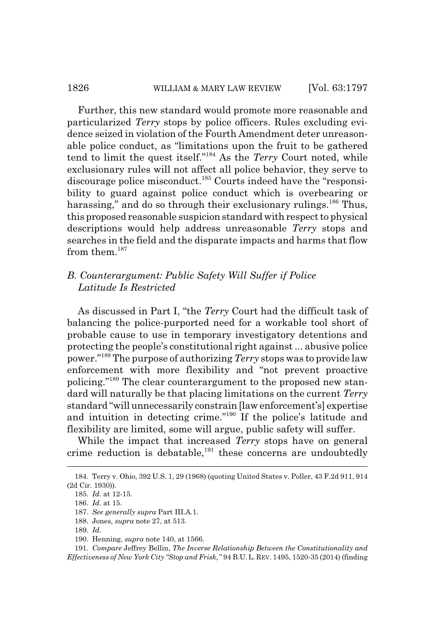Further, this new standard would promote more reasonable and particularized *Terry* stops by police officers. Rules excluding evidence seized in violation of the Fourth Amendment deter unreasonable police conduct, as "limitations upon the fruit to be gathered tend to limit the quest itself."184 As the *Terry* Court noted, while exclusionary rules will not affect all police behavior, they serve to discourage police misconduct.185 Courts indeed have the "responsibility to guard against police conduct which is overbearing or harassing," and do so through their exclusionary rulings.<sup>186</sup> Thus, this proposed reasonable suspicion standard with respect to physical descriptions would help address unreasonable *Terry* stops and searches in the field and the disparate impacts and harms that flow from them.<sup>187</sup>

## *B. Counterargument: Public Safety Will Suffer if Police Latitude Is Restricted*

As discussed in Part I, "the *Terry* Court had the difficult task of balancing the police-purported need for a workable tool short of probable cause to use in temporary investigatory detentions and protecting the people's constitutional right against ... abusive police power."188 The purpose of authorizing *Terry* stops was to provide law enforcement with more flexibility and "not prevent proactive policing."189 The clear counterargument to the proposed new standard will naturally be that placing limitations on the current *Terry* standard "will unnecessarily constrain [law enforcement's] expertise and intuition in detecting crime."190 If the police's latitude and flexibility are limited, some will argue, public safety will suffer.

While the impact that increased *Terry* stops have on general crime reduction is debatable, $191$  these concerns are undoubtedly

<sup>184.</sup> Terry v. Ohio, 392 U.S. 1, 29 (1968) (quoting United States v. Poller, 43 F.2d 911, 914 (2d Cir. 1930)).

<sup>185.</sup> *Id.* at 12-15.

<sup>186.</sup> *Id.* at 15.

<sup>187.</sup> *See generally supra* Part III.A.1.

<sup>188.</sup> Jones, *supra* note 27, at 513.

<sup>189.</sup> *Id.*

<sup>190.</sup> Henning, *supra* note 140, at 1566.

<sup>191.</sup> *Compare* Jeffrey Bellin, *The Inverse Relationship Between the Constitutionality and Effectiveness of New York City "Stop and Frisk,"* 94 B.U.L.REV. 1495, 1520-35 (2014) (finding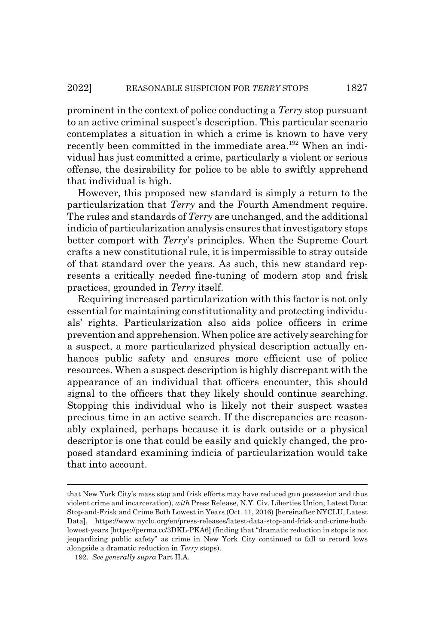prominent in the context of police conducting a *Terry* stop pursuant to an active criminal suspect's description. This particular scenario contemplates a situation in which a crime is known to have very recently been committed in the immediate area.<sup>192</sup> When an individual has just committed a crime, particularly a violent or serious offense, the desirability for police to be able to swiftly apprehend that individual is high.

However, this proposed new standard is simply a return to the particularization that *Terry* and the Fourth Amendment require. The rules and standards of *Terry* are unchanged, and the additional indicia of particularization analysis ensures that investigatory stops better comport with *Terry*'s principles. When the Supreme Court crafts a new constitutional rule, it is impermissible to stray outside of that standard over the years. As such, this new standard represents a critically needed fine-tuning of modern stop and frisk practices, grounded in *Terry* itself.

Requiring increased particularization with this factor is not only essential for maintaining constitutionality and protecting individuals' rights. Particularization also aids police officers in crime prevention and apprehension. When police are actively searching for a suspect, a more particularized physical description actually enhances public safety and ensures more efficient use of police resources. When a suspect description is highly discrepant with the appearance of an individual that officers encounter, this should signal to the officers that they likely should continue searching. Stopping this individual who is likely not their suspect wastes precious time in an active search. If the discrepancies are reasonably explained, perhaps because it is dark outside or a physical descriptor is one that could be easily and quickly changed, the proposed standard examining indicia of particularization would take that into account.

that New York City's mass stop and frisk efforts may have reduced gun possession and thus violent crime and incarceration), *with* Press Release, N.Y. Civ. Liberties Union, Latest Data: Stop-and-Frisk and Crime Both Lowest in Years (Oct. 11, 2016) [hereinafter NYCLU, Latest Data], https://www.nyclu.org/en/press-releases/latest-data-stop-and-frisk-and-crime-bothlowest-years [https://perma.cc/3DKL-PKA6] (finding that "dramatic reduction in stops is not jeopardizing public safety" as crime in New York City continued to fall to record lows alongside a dramatic reduction in *Terry* stops).

<sup>192.</sup> *See generally supra* Part II.A.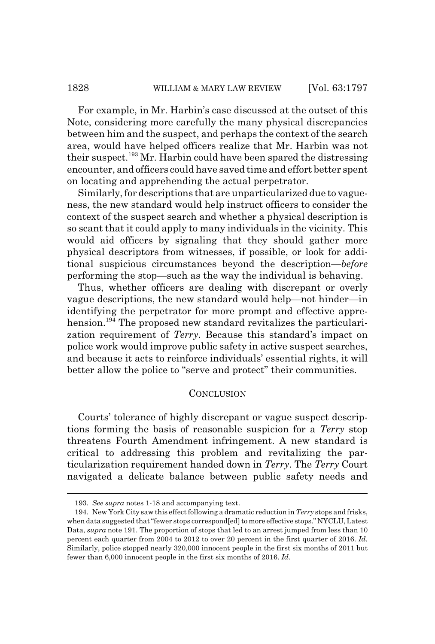For example, in Mr. Harbin's case discussed at the outset of this Note, considering more carefully the many physical discrepancies between him and the suspect, and perhaps the context of the search area, would have helped officers realize that Mr. Harbin was not their suspect.<sup>193</sup> Mr. Harbin could have been spared the distressing encounter, and officers could have saved time and effort better spent on locating and apprehending the actual perpetrator.

Similarly, for descriptions that are unparticularized due to vagueness, the new standard would help instruct officers to consider the context of the suspect search and whether a physical description is so scant that it could apply to many individuals in the vicinity. This would aid officers by signaling that they should gather more physical descriptors from witnesses, if possible, or look for additional suspicious circumstances beyond the description—*before* performing the stop—such as the way the individual is behaving.

Thus, whether officers are dealing with discrepant or overly vague descriptions, the new standard would help—not hinder—in identifying the perpetrator for more prompt and effective apprehension.<sup>194</sup> The proposed new standard revitalizes the particularization requirement of *Terry*. Because this standard's impact on police work would improve public safety in active suspect searches, and because it acts to reinforce individuals' essential rights, it will better allow the police to "serve and protect" their communities.

#### **CONCLUSION**

Courts' tolerance of highly discrepant or vague suspect descriptions forming the basis of reasonable suspicion for a *Terry* stop threatens Fourth Amendment infringement. A new standard is critical to addressing this problem and revitalizing the particularization requirement handed down in *Terry*. The *Terry* Court navigated a delicate balance between public safety needs and

<sup>193.</sup> *See supra* notes 1-18 and accompanying text.

<sup>194.</sup> New York City saw this effect following a dramatic reduction in *Terry* stops and frisks, when data suggested that "fewer stops correspond[ed] to more effective stops." NYCLU, Latest Data, *supra* note 191. The proportion of stops that led to an arrest jumped from less than 10 percent each quarter from 2004 to 2012 to over 20 percent in the first quarter of 2016. *Id.* Similarly, police stopped nearly 320,000 innocent people in the first six months of 2011 but fewer than 6,000 innocent people in the first six months of 2016. *Id.*